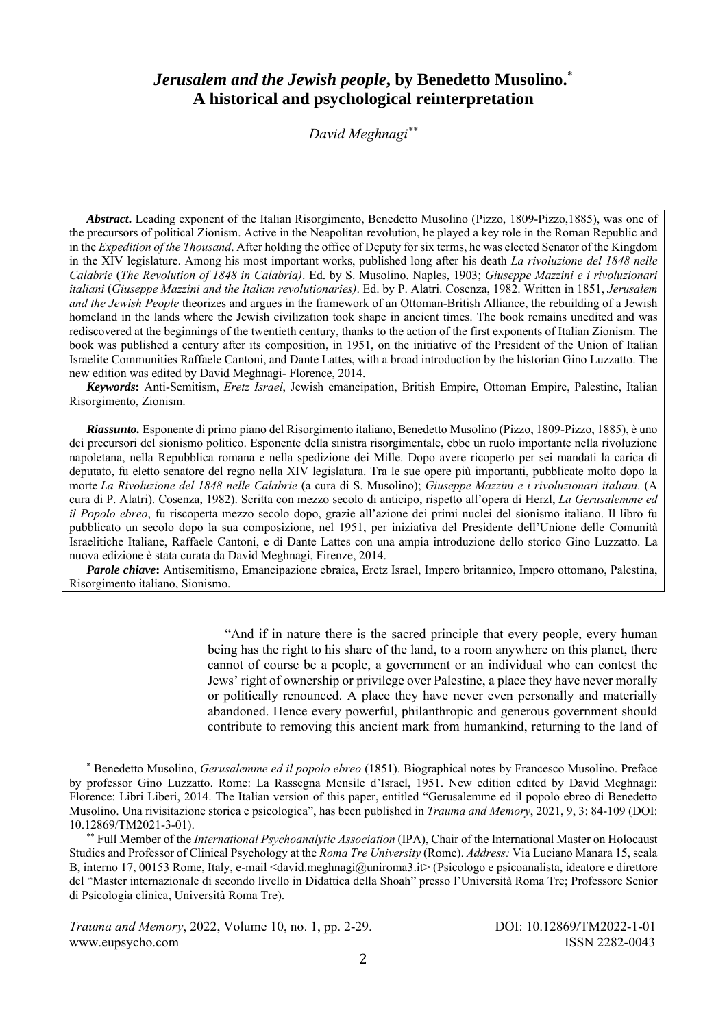# *Jerusalem and the Jewish people***, by Benedetto Musolino.**\* **A historical and psychological reinterpretation**

*David Meghnagi\*\**

*Abstract***.** Leading exponent of the Italian Risorgimento, Benedetto Musolino (Pizzo, 1809-Pizzo,1885), was one of the precursors of political Zionism. Active in the Neapolitan revolution, he played a key role in the Roman Republic and in the *Expedition of the Thousand*. After holding the office of Deputy for six terms, he was elected Senator of the Kingdom in the XIV legislature. Among his most important works, published long after his death *La rivoluzione del 1848 nelle Calabrie* (*The Revolution of 1848 in Calabria)*. Ed. by S. Musolino. Naples, 1903; *Giuseppe Mazzini e i rivoluzionari italiani* (*Giuseppe Mazzini and the Italian revolutionaries)*. Ed. by P. Alatri. Cosenza, 1982. Written in 1851, *Jerusalem and the Jewish People* theorizes and argues in the framework of an Ottoman-British Alliance, the rebuilding of a Jewish homeland in the lands where the Jewish civilization took shape in ancient times. The book remains unedited and was rediscovered at the beginnings of the twentieth century, thanks to the action of the first exponents of Italian Zionism. The book was published a century after its composition, in 1951, on the initiative of the President of the Union of Italian Israelite Communities Raffaele Cantoni, and Dante Lattes, with a broad introduction by the historian Gino Luzzatto. The new edition was edited by David Meghnagi- Florence, 2014.

*Keywords***:** Anti-Semitism, *Eretz Israel*, Jewish emancipation, British Empire, Ottoman Empire, Palestine, Italian Risorgimento, Zionism.

*Riassunto.* Esponente di primo piano del Risorgimento italiano, Benedetto Musolino (Pizzo, 1809-Pizzo, 1885), è uno dei precursori del sionismo politico. Esponente della sinistra risorgimentale, ebbe un ruolo importante nella rivoluzione napoletana, nella Repubblica romana e nella spedizione dei Mille. Dopo avere ricoperto per sei mandati la carica di deputato, fu eletto senatore del regno nella XIV legislatura. Tra le sue opere più importanti, pubblicate molto dopo la morte *La Rivoluzione del 1848 nelle Calabrie* (a cura di S. Musolino); *Giuseppe Mazzini e i rivoluzionari italiani.* (A cura di P. Alatri). Cosenza, 1982). Scritta con mezzo secolo di anticipo, rispetto all'opera di Herzl, *La Gerusalemme ed il Popolo ebreo*, fu riscoperta mezzo secolo dopo, grazie all'azione dei primi nuclei del sionismo italiano. Il libro fu pubblicato un secolo dopo la sua composizione, nel 1951, per iniziativa del Presidente dell'Unione delle Comunità Israelitiche Italiane, Raffaele Cantoni, e di Dante Lattes con una ampia introduzione dello storico Gino Luzzatto. La nuova edizione è stata curata da David Meghnagi, Firenze, 2014.

*Parole chiave***:** Antisemitismo, Emancipazione ebraica, Eretz Israel, Impero britannico, Impero ottomano, Palestina, Risorgimento italiano, Sionismo.

> "And if in nature there is the sacred principle that every people, every human being has the right to his share of the land, to a room anywhere on this planet, there cannot of course be a people, a government or an individual who can contest the Jews' right of ownership or privilege over Palestine, a place they have never morally or politically renounced. A place they have never even personally and materially abandoned. Hence every powerful, philanthropic and generous government should contribute to removing this ancient mark from humankind, returning to the land of

<sup>\*</sup> Benedetto Musolino, *Gerusalemme ed il popolo ebreo* (1851). Biographical notes by Francesco Musolino. Preface by professor Gino Luzzatto. Rome: La Rassegna Mensile d'Israel, 1951. New edition edited by David Meghnagi: Florence: Libri Liberi, 2014. The Italian version of this paper, entitled "Gerusalemme ed il popolo ebreo di Benedetto Musolino. Una rivisitazione storica e psicologica", has been published in *Trauma and Memory*, 2021, 9, 3: 84-109 (DOI: 10.12869/TM2021-3-01). \*\* Full Member of the *International Psychoanalytic Association* (IPA), Chair of the International Master on Holocaust

Studies and Professor of Clinical Psychology at the *Roma Tre University* (Rome). *Address:* Via Luciano Manara 15, scala B, interno 17, 00153 Rome, Italy, e-mail <david.meghnagi@uniroma3.it> (Psicologo e psicoanalista, ideatore e direttore del "Master internazionale di secondo livello in Didattica della Shoah" presso l'Università Roma Tre; Professore Senior di Psicologia clinica, Università Roma Tre).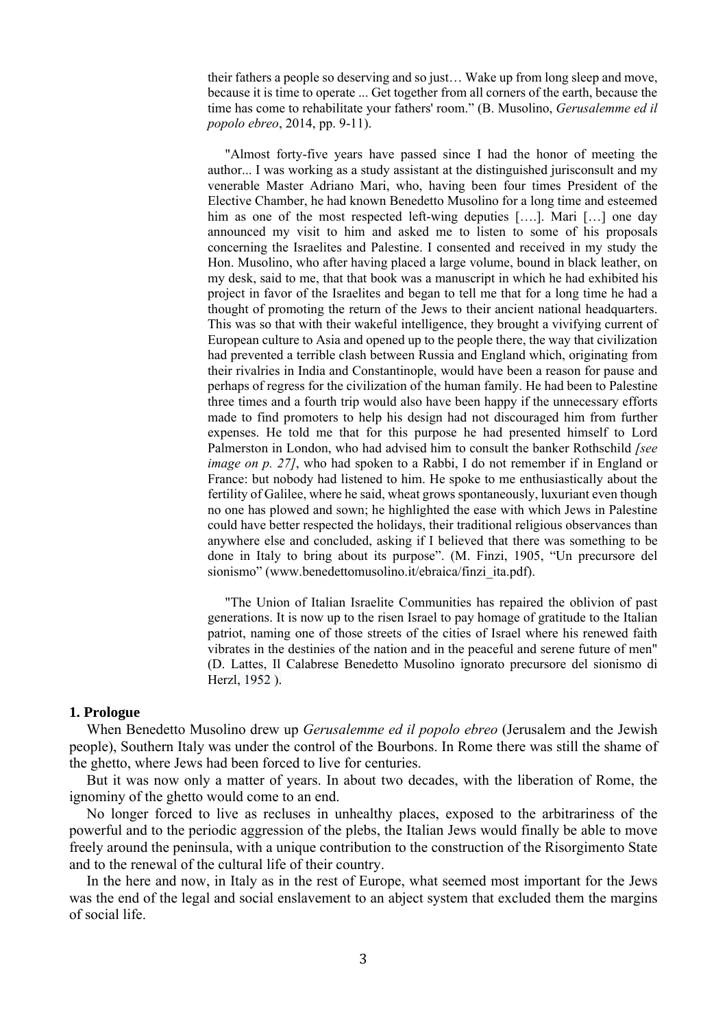their fathers a people so deserving and so just… Wake up from long sleep and move, because it is time to operate ... Get together from all corners of the earth, because the time has come to rehabilitate your fathers' room." (B. Musolino, *Gerusalemme ed il popolo ebreo*, 2014, pp. 9-11).

"Almost forty-five years have passed since I had the honor of meeting the author... I was working as a study assistant at the distinguished jurisconsult and my venerable Master Adriano Mari, who, having been four times President of the Elective Chamber, he had known Benedetto Musolino for a long time and esteemed him as one of the most respected left-wing deputies [....]. Mari [...] one day announced my visit to him and asked me to listen to some of his proposals concerning the Israelites and Palestine. I consented and received in my study the Hon. Musolino, who after having placed a large volume, bound in black leather, on my desk, said to me, that that book was a manuscript in which he had exhibited his project in favor of the Israelites and began to tell me that for a long time he had a thought of promoting the return of the Jews to their ancient national headquarters. This was so that with their wakeful intelligence, they brought a vivifying current of European culture to Asia and opened up to the people there, the way that civilization had prevented a terrible clash between Russia and England which, originating from their rivalries in India and Constantinople, would have been a reason for pause and perhaps of regress for the civilization of the human family. He had been to Palestine three times and a fourth trip would also have been happy if the unnecessary efforts made to find promoters to help his design had not discouraged him from further expenses. He told me that for this purpose he had presented himself to Lord Palmerston in London, who had advised him to consult the banker Rothschild *[see image on p. 27]*, who had spoken to a Rabbi, I do not remember if in England or France: but nobody had listened to him. He spoke to me enthusiastically about the fertility of Galilee, where he said, wheat grows spontaneously, luxuriant even though no one has plowed and sown; he highlighted the ease with which Jews in Palestine could have better respected the holidays, their traditional religious observances than anywhere else and concluded, asking if I believed that there was something to be done in Italy to bring about its purpose". (M. Finzi, 1905, "Un precursore del sionismo" (www.benedettomusolino.it/ebraica/finzi\_ita.pdf).

"The Union of Italian Israelite Communities has repaired the oblivion of past generations. It is now up to the risen Israel to pay homage of gratitude to the Italian patriot, naming one of those streets of the cities of Israel where his renewed faith vibrates in the destinies of the nation and in the peaceful and serene future of men" (D. Lattes, Il Calabrese Benedetto Musolino ignorato precursore del sionismo di Herzl, 1952 ).

#### **1. Prologue**

When Benedetto Musolino drew up *Gerusalemme ed il popolo ebreo* (Jerusalem and the Jewish people), Southern Italy was under the control of the Bourbons. In Rome there was still the shame of the ghetto, where Jews had been forced to live for centuries.

But it was now only a matter of years. In about two decades, with the liberation of Rome, the ignominy of the ghetto would come to an end.

No longer forced to live as recluses in unhealthy places, exposed to the arbitrariness of the powerful and to the periodic aggression of the plebs, the Italian Jews would finally be able to move freely around the peninsula, with a unique contribution to the construction of the Risorgimento State and to the renewal of the cultural life of their country.

In the here and now, in Italy as in the rest of Europe, what seemed most important for the Jews was the end of the legal and social enslavement to an abject system that excluded them the margins of social life.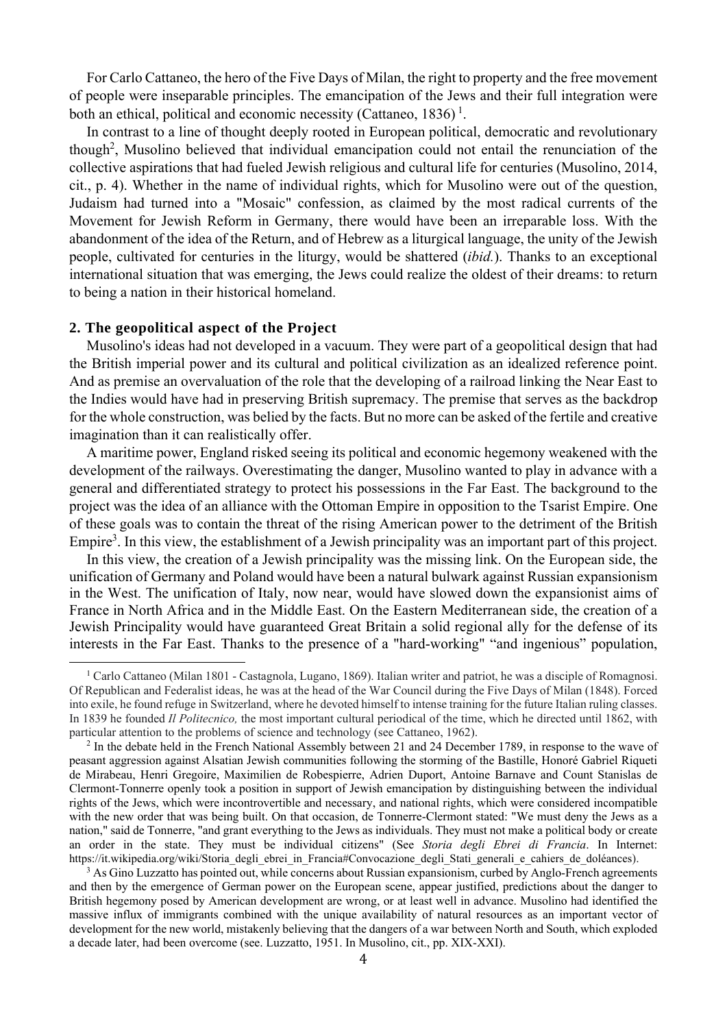For Carlo Cattaneo, the hero of the Five Days of Milan, the right to property and the free movement of people were inseparable principles. The emancipation of the Jews and their full integration were both an ethical, political and economic necessity (Cattaneo,  $1836$ )<sup>1</sup>.

In contrast to a line of thought deeply rooted in European political, democratic and revolutionary though<sup>2</sup>, Musolino believed that individual emancipation could not entail the renunciation of the collective aspirations that had fueled Jewish religious and cultural life for centuries (Musolino, 2014, cit., p. 4). Whether in the name of individual rights, which for Musolino were out of the question, Judaism had turned into a "Mosaic" confession, as claimed by the most radical currents of the Movement for Jewish Reform in Germany, there would have been an irreparable loss. With the abandonment of the idea of the Return, and of Hebrew as a liturgical language, the unity of the Jewish people, cultivated for centuries in the liturgy, would be shattered (*ibid.*). Thanks to an exceptional international situation that was emerging, the Jews could realize the oldest of their dreams: to return to being a nation in their historical homeland.

# **2. The geopolitical aspect of the Project**

Musolino's ideas had not developed in a vacuum. They were part of a geopolitical design that had the British imperial power and its cultural and political civilization as an idealized reference point. And as premise an overvaluation of the role that the developing of a railroad linking the Near East to the Indies would have had in preserving British supremacy. The premise that serves as the backdrop for the whole construction, was belied by the facts. But no more can be asked of the fertile and creative imagination than it can realistically offer.

A maritime power, England risked seeing its political and economic hegemony weakened with the development of the railways. Overestimating the danger, Musolino wanted to play in advance with a general and differentiated strategy to protect his possessions in the Far East. The background to the project was the idea of an alliance with the Ottoman Empire in opposition to the Tsarist Empire. One of these goals was to contain the threat of the rising American power to the detriment of the British Empire<sup>3</sup>. In this view, the establishment of a Jewish principality was an important part of this project.

In this view, the creation of a Jewish principality was the missing link. On the European side, the unification of Germany and Poland would have been a natural bulwark against Russian expansionism in the West. The unification of Italy, now near, would have slowed down the expansionist aims of France in North Africa and in the Middle East. On the Eastern Mediterranean side, the creation of a Jewish Principality would have guaranteed Great Britain a solid regional ally for the defense of its interests in the Far East. Thanks to the presence of a "hard-working" "and ingenious" population,

<sup>3</sup> As Gino Luzzatto has pointed out, while concerns about Russian expansionism, curbed by Anglo-French agreements and then by the emergence of German power on the European scene, appear justified, predictions about the danger to British hegemony posed by American development are wrong, or at least well in advance. Musolino had identified the massive influx of immigrants combined with the unique availability of natural resources as an important vector of development for the new world, mistakenly believing that the dangers of a war between North and South, which exploded a decade later, had been overcome (see. Luzzatto, 1951. In Musolino, cit., pp. XIX-XXI).

<sup>1</sup> Carlo Cattaneo (Milan 1801 - Castagnola, Lugano, 1869). Italian writer and patriot, he was a disciple of Romagnosi. Of Republican and Federalist ideas, he was at the head of the War Council during the Five Days of Milan (1848). Forced into exile, he found refuge in Switzerland, where he devoted himself to intense training for the future Italian ruling classes. In 1839 he founded *Il Politecnico,* the most important cultural periodical of the time, which he directed until 1862, with particular attention to the problems of science and technology (see Cattaneo, 1962).

<sup>&</sup>lt;sup>2</sup> In the debate held in the French National Assembly between 21 and 24 December 1789, in response to the wave of peasant aggression against Alsatian Jewish communities following the storming of the Bastille, Honoré Gabriel Riqueti de Mirabeau, Henri Gregoire, Maximilien de Robespierre, Adrien Duport, Antoine Barnave and Count Stanislas de Clermont-Tonnerre openly took a position in support of Jewish emancipation by distinguishing between the individual rights of the Jews, which were incontrovertible and necessary, and national rights, which were considered incompatible with the new order that was being built. On that occasion, de Tonnerre-Clermont stated: "We must deny the Jews as a nation," said de Tonnerre, "and grant everything to the Jews as individuals. They must not make a political body or create an order in the state. They must be individual citizens" (See *Storia degli Ebrei di Francia*. In Internet: https://it.wikipedia.org/wiki/Storia\_degli\_ebrei\_in\_Francia#Convocazione\_degli\_Stati\_generali\_e\_cahiers\_de\_doléances).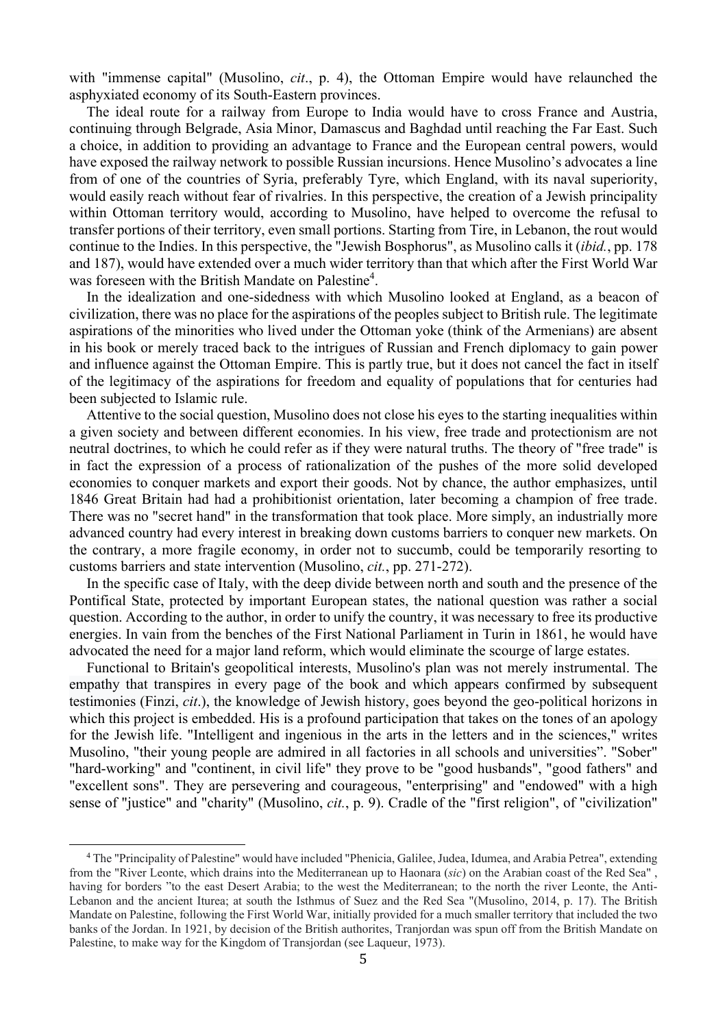with "immense capital" (Musolino, *cit*., p. 4), the Ottoman Empire would have relaunched the asphyxiated economy of its South-Eastern provinces.

The ideal route for a railway from Europe to India would have to cross France and Austria, continuing through Belgrade, Asia Minor, Damascus and Baghdad until reaching the Far East. Such a choice, in addition to providing an advantage to France and the European central powers, would have exposed the railway network to possible Russian incursions. Hence Musolino's advocates a line from of one of the countries of Syria, preferably Tyre, which England, with its naval superiority, would easily reach without fear of rivalries. In this perspective, the creation of a Jewish principality within Ottoman territory would, according to Musolino, have helped to overcome the refusal to transfer portions of their territory, even small portions. Starting from Tire, in Lebanon, the rout would continue to the Indies. In this perspective, the "Jewish Bosphorus", as Musolino calls it (*ibid.*, pp. 178 and 187), would have extended over a much wider territory than that which after the First World War was foreseen with the British Mandate on Palestine<sup>4</sup>.

In the idealization and one-sidedness with which Musolino looked at England, as a beacon of civilization, there was no place for the aspirations of the peoples subject to British rule. The legitimate aspirations of the minorities who lived under the Ottoman yoke (think of the Armenians) are absent in his book or merely traced back to the intrigues of Russian and French diplomacy to gain power and influence against the Ottoman Empire. This is partly true, but it does not cancel the fact in itself of the legitimacy of the aspirations for freedom and equality of populations that for centuries had been subjected to Islamic rule.

Attentive to the social question, Musolino does not close his eyes to the starting inequalities within a given society and between different economies. In his view, free trade and protectionism are not neutral doctrines, to which he could refer as if they were natural truths. The theory of "free trade" is in fact the expression of a process of rationalization of the pushes of the more solid developed economies to conquer markets and export their goods. Not by chance, the author emphasizes, until 1846 Great Britain had had a prohibitionist orientation, later becoming a champion of free trade. There was no "secret hand" in the transformation that took place. More simply, an industrially more advanced country had every interest in breaking down customs barriers to conquer new markets. On the contrary, a more fragile economy, in order not to succumb, could be temporarily resorting to customs barriers and state intervention (Musolino, *cit.*, pp. 271-272).

In the specific case of Italy, with the deep divide between north and south and the presence of the Pontifical State, protected by important European states, the national question was rather a social question. According to the author, in order to unify the country, it was necessary to free its productive energies. In vain from the benches of the First National Parliament in Turin in 1861, he would have advocated the need for a major land reform, which would eliminate the scourge of large estates.

Functional to Britain's geopolitical interests, Musolino's plan was not merely instrumental. The empathy that transpires in every page of the book and which appears confirmed by subsequent testimonies (Finzi, *cit*.), the knowledge of Jewish history, goes beyond the geo-political horizons in which this project is embedded. His is a profound participation that takes on the tones of an apology for the Jewish life. "Intelligent and ingenious in the arts in the letters and in the sciences," writes Musolino, "their young people are admired in all factories in all schools and universities". "Sober" "hard-working" and "continent, in civil life" they prove to be "good husbands", "good fathers" and "excellent sons". They are persevering and courageous, "enterprising" and "endowed" with a high sense of "justice" and "charity" (Musolino, *cit.*, p. 9). Cradle of the "first religion", of "civilization"

<sup>4</sup> The "Principality of Palestine" would have included "Phenicia, Galilee, Judea, Idumea, and Arabia Petrea", extending from the "River Leonte, which drains into the Mediterranean up to Haonara (*sic*) on the Arabian coast of the Red Sea" , having for borders "to the east Desert Arabia; to the west the Mediterranean; to the north the river Leonte, the Anti-Lebanon and the ancient Iturea; at south the Isthmus of Suez and the Red Sea "(Musolino, 2014, p. 17). The British Mandate on Palestine, following the First World War, initially provided for a much smaller territory that included the two banks of the Jordan. In 1921, by decision of the British authorites, Tranjordan was spun off from the British Mandate on Palestine, to make way for the Kingdom of Transjordan (see Laqueur, 1973).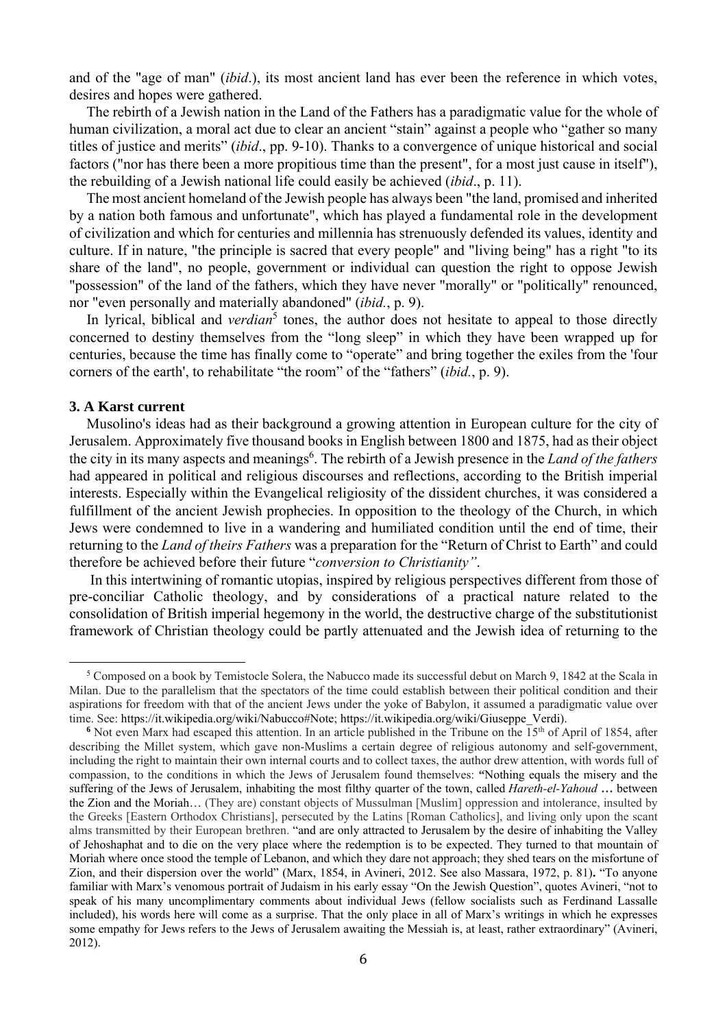and of the "age of man" (*ibid*.), its most ancient land has ever been the reference in which votes, desires and hopes were gathered.

The rebirth of a Jewish nation in the Land of the Fathers has a paradigmatic value for the whole of human civilization, a moral act due to clear an ancient "stain" against a people who "gather so many titles of justice and merits" (*ibid*., pp. 9-10). Thanks to a convergence of unique historical and social factors ("nor has there been a more propitious time than the present", for a most just cause in itself"), the rebuilding of a Jewish national life could easily be achieved (*ibid*., p. 11).

The most ancient homeland of the Jewish people has always been "the land, promised and inherited by a nation both famous and unfortunate", which has played a fundamental role in the development of civilization and which for centuries and millennia has strenuously defended its values, identity and culture. If in nature, "the principle is sacred that every people" and "living being" has a right "to its share of the land", no people, government or individual can question the right to oppose Jewish "possession" of the land of the fathers, which they have never "morally" or "politically" renounced, nor "even personally and materially abandoned" (*ibid.*, p. 9).

In lyrical, biblical and *verdian*<sup>5</sup> tones, the author does not hesitate to appeal to those directly concerned to destiny themselves from the "long sleep" in which they have been wrapped up for centuries, because the time has finally come to "operate" and bring together the exiles from the 'four corners of the earth', to rehabilitate "the room" of the "fathers" (*ibid.*, p. 9).

# **3. A Karst current**

Musolino's ideas had as their background a growing attention in European culture for the city of Jerusalem. Approximately five thousand books in English between 1800 and 1875, had as their object the city in its many aspects and meanings<sup>6</sup>. The rebirth of a Jewish presence in the *Land of the fathers* had appeared in political and religious discourses and reflections, according to the British imperial interests. Especially within the Evangelical religiosity of the dissident churches, it was considered a fulfillment of the ancient Jewish prophecies. In opposition to the theology of the Church, in which Jews were condemned to live in a wandering and humiliated condition until the end of time, their returning to the *Land of theirs Fathers* was a preparation for the "Return of Christ to Earth" and could therefore be achieved before their future "*conversion to Christianity"*.

 In this intertwining of romantic utopias, inspired by religious perspectives different from those of pre-conciliar Catholic theology, and by considerations of a practical nature related to the consolidation of British imperial hegemony in the world, the destructive charge of the substitutionist framework of Christian theology could be partly attenuated and the Jewish idea of returning to the

<sup>5</sup> Composed on a book by Temistocle Solera, the Nabucco made its successful debut on March 9, 1842 at the Scala in Milan. Due to the parallelism that the spectators of the time could establish between their political condition and their aspirations for freedom with that of the ancient Jews under the yoke of Babylon, it assumed a paradigmatic value over time. See: https://it.wikipedia.org/wiki/Nabucco#Note; https://it.wikipedia.org/wiki/Giuseppe\_Verdi).

<sup>&</sup>lt;sup>6</sup> Not even Marx had escaped this attention. In an article published in the Tribune on the 15<sup>th</sup> of April of 1854, after describing the Millet system, which gave non-Muslims a certain degree of religious autonomy and self-government, including the right to maintain their own internal courts and to collect taxes, the author drew attention, with words full of compassion, to the conditions in which the Jews of Jerusalem found themselves: **"**Nothing equals the misery and the suffering of the Jews of Jerusalem, inhabiting the most filthy quarter of the town, called *Hareth-el-Yahoud* **…** between the Zion and the Moriah… (They are) constant objects of Mussulman [Muslim] oppression and intolerance, insulted by the Greeks [Eastern Orthodox Christians], persecuted by the Latins [Roman Catholics], and living only upon the scant alms transmitted by their European brethren. "and are only attracted to Jerusalem by the desire of inhabiting the Valley of Jehoshaphat and to die on the very place where the redemption is to be expected. They turned to that mountain of Moriah where once stood the temple of Lebanon, and which they dare not approach; they shed tears on the misfortune of Zion, and their dispersion over the world" (Marx, 1854, in Avineri, 2012. See also Massara, 1972, p. 81)**.** "To anyone familiar with Marx's venomous portrait of Judaism in his early essay "On the Jewish Question", quotes Avineri, "not to speak of his many uncomplimentary comments about individual Jews (fellow socialists such as Ferdinand Lassalle included), his words here will come as a surprise. That the only place in all of Marx's writings in which he expresses some empathy for Jews refers to the Jews of Jerusalem awaiting the Messiah is, at least, rather extraordinary" (Avineri, 2012).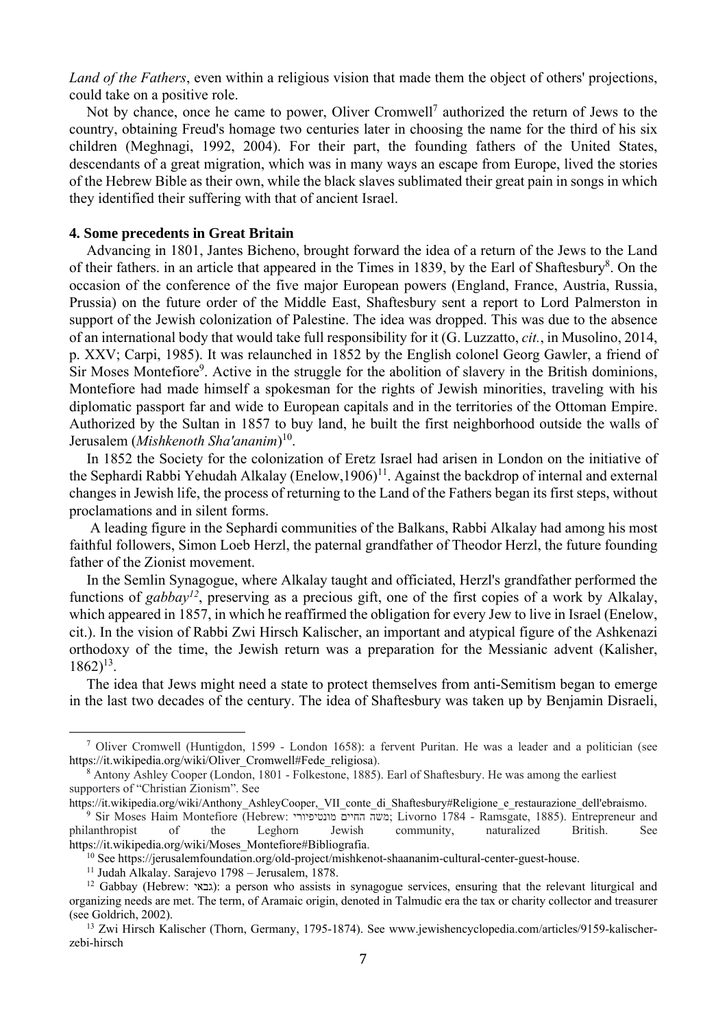*Land of the Fathers*, even within a religious vision that made them the object of others' projections, could take on a positive role.

Not by chance, once he came to power, Oliver Cromwell<sup>7</sup> authorized the return of Jews to the country, obtaining Freud's homage two centuries later in choosing the name for the third of his six children (Meghnagi, 1992, 2004). For their part, the founding fathers of the United States, descendants of a great migration, which was in many ways an escape from Europe, lived the stories of the Hebrew Bible as their own, while the black slaves sublimated their great pain in songs in which they identified their suffering with that of ancient Israel.

# **4. Some precedents in Great Britain**

Advancing in 1801, Jantes Bicheno, brought forward the idea of a return of the Jews to the Land of their fathers. in an article that appeared in the Times in 1839, by the Earl of Shaftesbury<sup>8</sup>. On the occasion of the conference of the five major European powers (England, France, Austria, Russia, Prussia) on the future order of the Middle East, Shaftesbury sent a report to Lord Palmerston in support of the Jewish colonization of Palestine. The idea was dropped. This was due to the absence of an international body that would take full responsibility for it (G. Luzzatto, *cit.*, in Musolino, 2014, p. XXV; Carpi, 1985). It was relaunched in 1852 by the English colonel Georg Gawler, a friend of Sir Moses Montefiore<sup>9</sup>. Active in the struggle for the abolition of slavery in the British dominions, Montefiore had made himself a spokesman for the rights of Jewish minorities, traveling with his diplomatic passport far and wide to European capitals and in the territories of the Ottoman Empire. Authorized by the Sultan in 1857 to buy land, he built the first neighborhood outside the walls of Jerusalem (*Mishkenoth Sha'ananim*) 10.

In 1852 the Society for the colonization of Eretz Israel had arisen in London on the initiative of the Sephardi Rabbi Yehudah Alkalay (Enelow, 1906)<sup>11</sup>. Against the backdrop of internal and external changes in Jewish life, the process of returning to the Land of the Fathers began its first steps, without proclamations and in silent forms.

 A leading figure in the Sephardi communities of the Balkans, Rabbi Alkalay had among his most faithful followers, Simon Loeb Herzl, the paternal grandfather of Theodor Herzl, the future founding father of the Zionist movement.

In the Semlin Synagogue, where Alkalay taught and officiated, Herzl's grandfather performed the functions of *gabbay12*, preserving as a precious gift, one of the first copies of a work by Alkalay, which appeared in 1857, in which he reaffirmed the obligation for every Jew to live in Israel (Enelow, cit.). In the vision of Rabbi Zwi Hirsch Kalischer, an important and atypical figure of the Ashkenazi orthodoxy of the time, the Jewish return was a preparation for the Messianic advent (Kalisher,  $1862$ <sup>13</sup>

The idea that Jews might need a state to protect themselves from anti-Semitism began to emerge in the last two decades of the century. The idea of Shaftesbury was taken up by Benjamin Disraeli,

<sup>7</sup> Oliver Cromwell (Huntigdon, 1599 - London 1658): a fervent Puritan. He was a leader and a politician (see https://it.wikipedia.org/wiki/Oliver\_Cromwell#Fede\_religiosa). 8 Antony Ashley Cooper (London, 1801 - Folkestone, 1885). Earl of Shaftesbury. He was among the earliest

supporters of "Christian Zionism". See

https://it.wikipedia.org/wiki/Anthony\_AshleyCooper,\_VII\_conte\_di\_Shaftesbury#Religione\_e\_restaurazione\_dell'ebraismo.

<sup>9</sup> Sir Moses Haim Montefiore (Hebrew: מונטיפיורי החיים משה ;Livorno 1784 - Ramsgate, 1885). Entrepreneur and philanthropist of the Leghorn Jewish community, naturalized British. See https://it.wikipedia.org/wiki/Moses\_Montefiore#Bibliografia.<br><sup>10</sup> See https://jerusalemfoundation.org/old-project/mishkenot-shaananim-cultural-center-guest-house.<br><sup>11</sup> Judah Alkalay. Sarajevo 1798 – Jerusalem, 1878.

<sup>&</sup>lt;sup>12</sup> Gabbay (Hebrew: גבאי): a person who assists in synagogue services, ensuring that the relevant liturgical and organizing needs are met. The term, of Aramaic origin, denoted in Talmudic era the tax or charity collector and treasurer (see Goldrich, 2002).<br><sup>13</sup> Zwi Hirsch Kalischer (Thorn, Germany, 1795-1874). See www.jewishencyclopedia.com/articles/9159-kalischer-

zebi-hirsch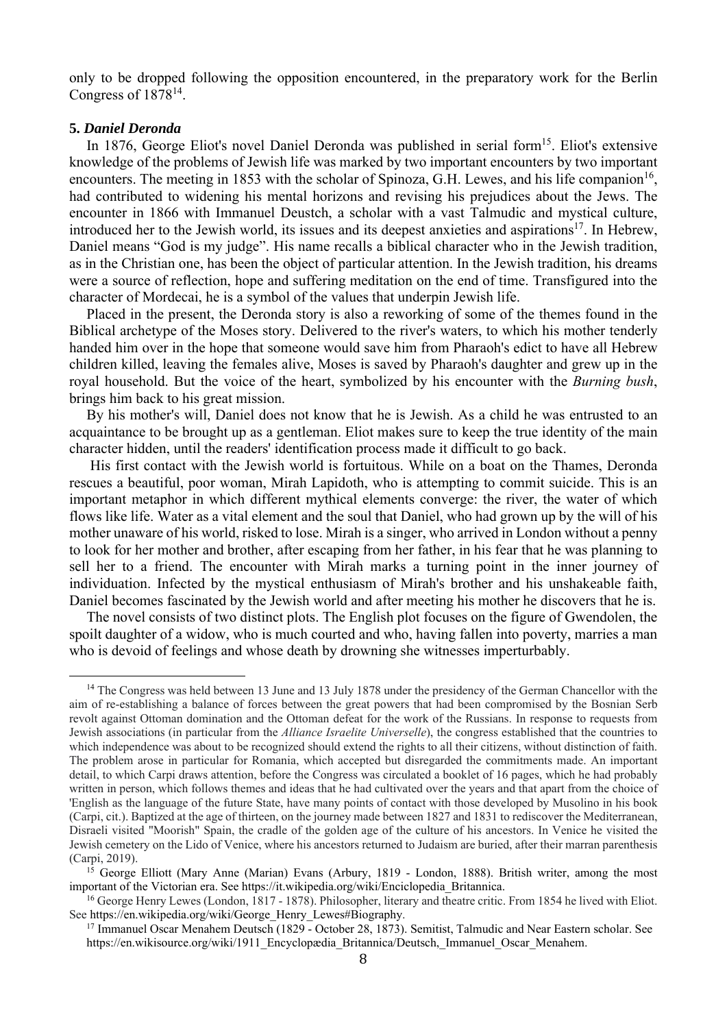only to be dropped following the opposition encountered, in the preparatory work for the Berlin Congress of 1878<sup>14</sup>.

### **5.** *Daniel Deronda*

In 1876, George Eliot's novel Daniel Deronda was published in serial form<sup>15</sup>. Eliot's extensive knowledge of the problems of Jewish life was marked by two important encounters by two important encounters. The meeting in 1853 with the scholar of Spinoza, G.H. Lewes, and his life companion<sup>16</sup>, had contributed to widening his mental horizons and revising his prejudices about the Jews. The encounter in 1866 with Immanuel Deustch, a scholar with a vast Talmudic and mystical culture, introduced her to the Jewish world, its issues and its deepest anxieties and aspirations<sup>17</sup>. In Hebrew, Daniel means "God is my judge". His name recalls a biblical character who in the Jewish tradition, as in the Christian one, has been the object of particular attention. In the Jewish tradition, his dreams were a source of reflection, hope and suffering meditation on the end of time. Transfigured into the character of Mordecai, he is a symbol of the values that underpin Jewish life.

Placed in the present, the Deronda story is also a reworking of some of the themes found in the Biblical archetype of the Moses story. Delivered to the river's waters, to which his mother tenderly handed him over in the hope that someone would save him from Pharaoh's edict to have all Hebrew children killed, leaving the females alive, Moses is saved by Pharaoh's daughter and grew up in the royal household. But the voice of the heart, symbolized by his encounter with the *Burning bush*, brings him back to his great mission.

By his mother's will, Daniel does not know that he is Jewish. As a child he was entrusted to an acquaintance to be brought up as a gentleman. Eliot makes sure to keep the true identity of the main character hidden, until the readers' identification process made it difficult to go back.

 His first contact with the Jewish world is fortuitous. While on a boat on the Thames, Deronda rescues a beautiful, poor woman, Mirah Lapidoth, who is attempting to commit suicide. This is an important metaphor in which different mythical elements converge: the river, the water of which flows like life. Water as a vital element and the soul that Daniel, who had grown up by the will of his mother unaware of his world, risked to lose. Mirah is a singer, who arrived in London without a penny to look for her mother and brother, after escaping from her father, in his fear that he was planning to sell her to a friend. The encounter with Mirah marks a turning point in the inner journey of individuation. Infected by the mystical enthusiasm of Mirah's brother and his unshakeable faith, Daniel becomes fascinated by the Jewish world and after meeting his mother he discovers that he is.

The novel consists of two distinct plots. The English plot focuses on the figure of Gwendolen, the spoilt daughter of a widow, who is much courted and who, having fallen into poverty, marries a man who is devoid of feelings and whose death by drowning she witnesses imperturbably.

<sup>&</sup>lt;sup>14</sup> The Congress was held between 13 June and 13 July 1878 under the presidency of the German Chancellor with the aim of re-establishing a balance of forces between the great powers that had been compromised by the Bosnian Serb revolt against Ottoman domination and the Ottoman defeat for the work of the Russians. In response to requests from Jewish associations (in particular from the *Alliance Israelite Universelle*), the congress established that the countries to which independence was about to be recognized should extend the rights to all their citizens, without distinction of faith. The problem arose in particular for Romania, which accepted but disregarded the commitments made. An important detail, to which Carpi draws attention, before the Congress was circulated a booklet of 16 pages, which he had probably written in person, which follows themes and ideas that he had cultivated over the years and that apart from the choice of 'English as the language of the future State, have many points of contact with those developed by Musolino in his book (Carpi, cit.). Baptized at the age of thirteen, on the journey made between 1827 and 1831 to rediscover the Mediterranean, Disraeli visited "Moorish" Spain, the cradle of the golden age of the culture of his ancestors. In Venice he visited the Jewish cemetery on the Lido of Venice, where his ancestors returned to Judaism are buried, after their marran parenthesis (Carpi, 2019).

<sup>15</sup> George Elliott (Mary Anne (Marian) Evans (Arbury, 1819 - London, 1888). British writer, among the most important of the Victorian era. See https://it.wikipedia.org/wiki/Enciclopedia\_Britannica. 16 George Henry Lewes (London, 1817 - 1878). Philosopher, literary and theatre critic. From 1854 he lived with Eliot.

See https://en.wikipedia.org/wiki/George\_Henry\_Lewes#Biography.

<sup>17</sup> Immanuel Oscar Menahem Deutsch (1829 - October 28, 1873). Semitist, Talmudic and Near Eastern scholar. See https://en.wikisource.org/wiki/1911\_Encyclopædia\_Britannica/Deutsch,\_Immanuel\_Oscar\_Menahem.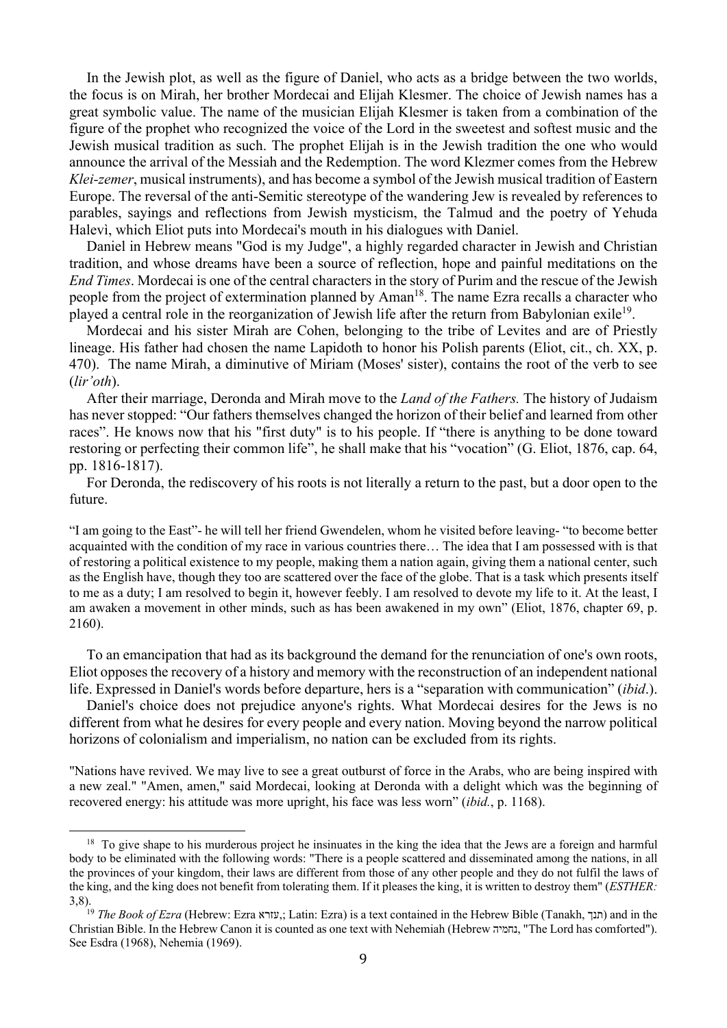In the Jewish plot, as well as the figure of Daniel, who acts as a bridge between the two worlds, the focus is on Mirah, her brother Mordecai and Elijah Klesmer. The choice of Jewish names has a great symbolic value. The name of the musician Elijah Klesmer is taken from a combination of the figure of the prophet who recognized the voice of the Lord in the sweetest and softest music and the Jewish musical tradition as such. The prophet Elijah is in the Jewish tradition the one who would announce the arrival of the Messiah and the Redemption. The word Klezmer comes from the Hebrew *Klei-zemer*, musical instruments), and has become a symbol of the Jewish musical tradition of Eastern Europe. The reversal of the anti-Semitic stereotype of the wandering Jew is revealed by references to parables, sayings and reflections from Jewish mysticism, the Talmud and the poetry of Yehuda Halevì, which Eliot puts into Mordecai's mouth in his dialogues with Daniel.

Daniel in Hebrew means "God is my Judge", a highly regarded character in Jewish and Christian tradition, and whose dreams have been a source of reflection, hope and painful meditations on the *End Times*. Mordecai is one of the central characters in the story of Purim and the rescue of the Jewish people from the project of extermination planned by Aman<sup>18</sup>. The name Ezra recalls a character who played a central role in the reorganization of Jewish life after the return from Babylonian exile<sup>19</sup>.

Mordecai and his sister Mirah are Cohen, belonging to the tribe of Levites and are of Priestly lineage. His father had chosen the name Lapidoth to honor his Polish parents (Eliot, cit., ch. XX, p. 470). The name Mirah, a diminutive of Miriam (Moses' sister), contains the root of the verb to see (*lir'oth*).

After their marriage, Deronda and Mirah move to the *Land of the Fathers.* The history of Judaism has never stopped: "Our fathers themselves changed the horizon of their belief and learned from other races". He knows now that his "first duty" is to his people. If "there is anything to be done toward restoring or perfecting their common life", he shall make that his "vocation" (G. Eliot, 1876, cap. 64, pp. 1816-1817).

For Deronda, the rediscovery of his roots is not literally a return to the past, but a door open to the future.

"I am going to the East"- he will tell her friend Gwendelen, whom he visited before leaving- "to become better acquainted with the condition of my race in various countries there… The idea that I am possessed with is that of restoring a political existence to my people, making them a nation again, giving them a national center, such as the English have, though they too are scattered over the face of the globe. That is a task which presents itself to me as a duty; I am resolved to begin it, however feebly. I am resolved to devote my life to it. At the least, I am awaken a movement in other minds, such as has been awakened in my own" (Eliot, 1876, chapter 69, p. 2160).

To an emancipation that had as its background the demand for the renunciation of one's own roots, Eliot opposes the recovery of a history and memory with the reconstruction of an independent national life. Expressed in Daniel's words before departure, hers is a "separation with communication" (*ibid*.).

Daniel's choice does not prejudice anyone's rights. What Mordecai desires for the Jews is no different from what he desires for every people and every nation. Moving beyond the narrow political horizons of colonialism and imperialism, no nation can be excluded from its rights.

"Nations have revived. We may live to see a great outburst of force in the Arabs, who are being inspired with a new zeal." "Amen, amen," said Mordecai, looking at Deronda with a delight which was the beginning of recovered energy: his attitude was more upright, his face was less worn" (*ibid.*, p. 1168).

<sup>&</sup>lt;sup>18</sup> To give shape to his murderous project he insinuates in the king the idea that the Jews are a foreign and harmful body to be eliminated with the following words: "There is a people scattered and disseminated among the nations, in all the provinces of your kingdom, their laws are different from those of any other people and they do not fulfil the laws of the king, and the king does not benefit from tolerating them. If it pleases the king, it is written to destroy them" (*ESTHER:*

<sup>3,8).&</sup>lt;br><sup>19</sup> *The Book of Ezra* (Hebrew: Ezra עזרא, ; Latin: Ezra) is a text contained in the Hebrew Bible (Tanakh, תנך (and has comforted") Christian Bible. In the Hebrew Canon it is counted as one text with Nehemiah (Hebrew נחמיה," The Lord has comforted"). See Esdra (1968), Nehemia (1969).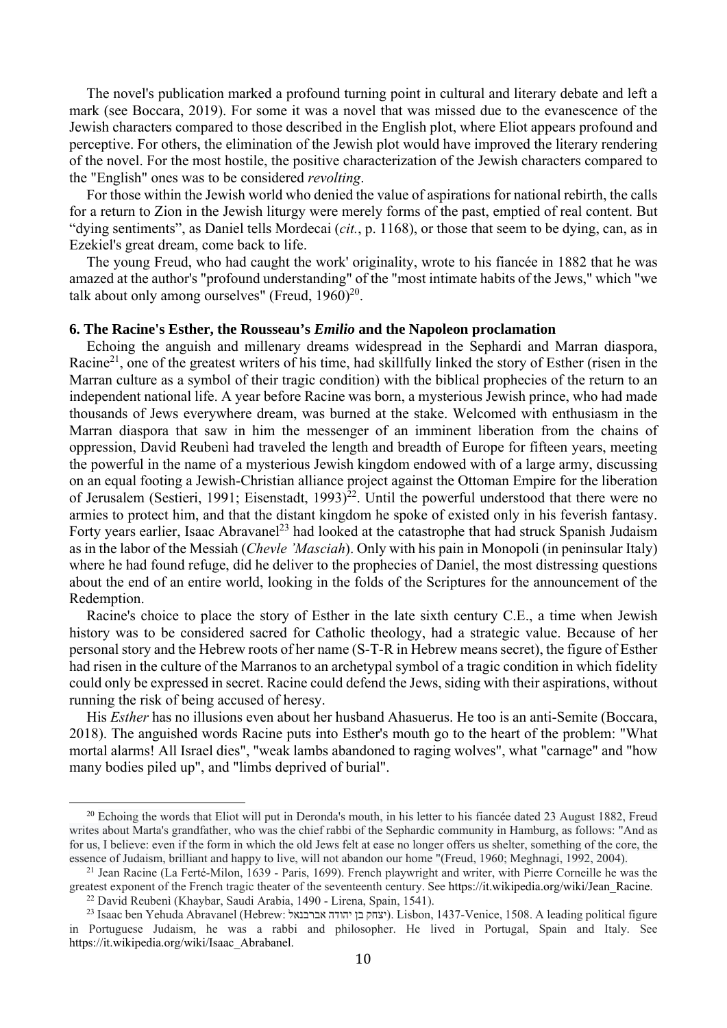The novel's publication marked a profound turning point in cultural and literary debate and left a mark (see Boccara, 2019). For some it was a novel that was missed due to the evanescence of the Jewish characters compared to those described in the English plot, where Eliot appears profound and perceptive. For others, the elimination of the Jewish plot would have improved the literary rendering of the novel. For the most hostile, the positive characterization of the Jewish characters compared to the "English" ones was to be considered *revolting*.

For those within the Jewish world who denied the value of aspirations for national rebirth, the calls for a return to Zion in the Jewish liturgy were merely forms of the past, emptied of real content. But "dying sentiments", as Daniel tells Mordecai (*cit.*, p. 1168), or those that seem to be dying, can, as in Ezekiel's great dream, come back to life.

The young Freud, who had caught the work' originality, wrote to his fiancée in 1882 that he was amazed at the author's "profound understanding" of the "most intimate habits of the Jews," which "we talk about only among ourselves" (Freud,  $1960)^{20}$ .

# **6. The Racine's Esther, the Rousseau's** *Emilio* **and the Napoleon proclamation**

Echoing the anguish and millenary dreams widespread in the Sephardi and Marran diaspora, Racine<sup>21</sup>, one of the greatest writers of his time, had skillfully linked the story of Esther (risen in the Marran culture as a symbol of their tragic condition) with the biblical prophecies of the return to an independent national life. A year before Racine was born, a mysterious Jewish prince, who had made thousands of Jews everywhere dream, was burned at the stake. Welcomed with enthusiasm in the Marran diaspora that saw in him the messenger of an imminent liberation from the chains of oppression, David Reubenì had traveled the length and breadth of Europe for fifteen years, meeting the powerful in the name of a mysterious Jewish kingdom endowed with of a large army, discussing on an equal footing a Jewish-Christian alliance project against the Ottoman Empire for the liberation of Jerusalem (Sestieri, 1991; Eisenstadt, 1993)<sup>22</sup>. Until the powerful understood that there were no armies to protect him, and that the distant kingdom he spoke of existed only in his feverish fantasy. Forty years earlier, Isaac Abravanel<sup>23</sup> had looked at the catastrophe that had struck Spanish Judaism as in the labor of the Messiah (*Chevle 'Masciah*). Only with his pain in Monopoli (in peninsular Italy) where he had found refuge, did he deliver to the prophecies of Daniel, the most distressing questions about the end of an entire world, looking in the folds of the Scriptures for the announcement of the Redemption.

Racine's choice to place the story of Esther in the late sixth century C.E., a time when Jewish history was to be considered sacred for Catholic theology, had a strategic value. Because of her personal story and the Hebrew roots of her name (S-T-R in Hebrew means secret), the figure of Esther had risen in the culture of the Marranos to an archetypal symbol of a tragic condition in which fidelity could only be expressed in secret. Racine could defend the Jews, siding with their aspirations, without running the risk of being accused of heresy.

His *Esther* has no illusions even about her husband Ahasuerus. He too is an anti-Semite (Boccara, 2018). The anguished words Racine puts into Esther's mouth go to the heart of the problem: "What mortal alarms! All Israel dies", "weak lambs abandoned to raging wolves", what "carnage" and "how many bodies piled up", and "limbs deprived of burial".

<sup>&</sup>lt;sup>20</sup> Echoing the words that Eliot will put in Deronda's mouth, in his letter to his fiancée dated 23 August 1882, Freud writes about Marta's grandfather, who was the chief rabbi of the Sephardic community in Hamburg, as follows: "And as for us, I believe: even if the form in which the old Jews felt at ease no longer offers us shelter, something of the core, the essence of Judaism, brilliant and happy to live, will not abandon our home "(Freud, 1960; Meghnagi, 1992, 2004).

<sup>&</sup>lt;sup>21</sup> Jean Racine (La Ferté-Milon, 1639 - Paris, 1699). French playwright and writer, with Pierre Corneille he was the greatest exponent of the French tragic theater of the seventeenth century. See https://it.wikipedia.org/wiki/Jean\_Racine.

<sup>&</sup>lt;sup>22</sup> David Reubenì (Khaybar, Saudi Arabia, 1490 - Lirena, Spain, 1541).<br><sup>23</sup> Isaac ben Yehuda Abravanel (Hebrew: יצחק בן יהודה אברבנאל). Lisbon, 1437-Venice, 1508. A leading political figure in Portuguese Judaism, he was a rabbi and philosopher. He lived in Portugal, Spain and Italy. See https://it.wikipedia.org/wiki/Isaac\_Abrabanel.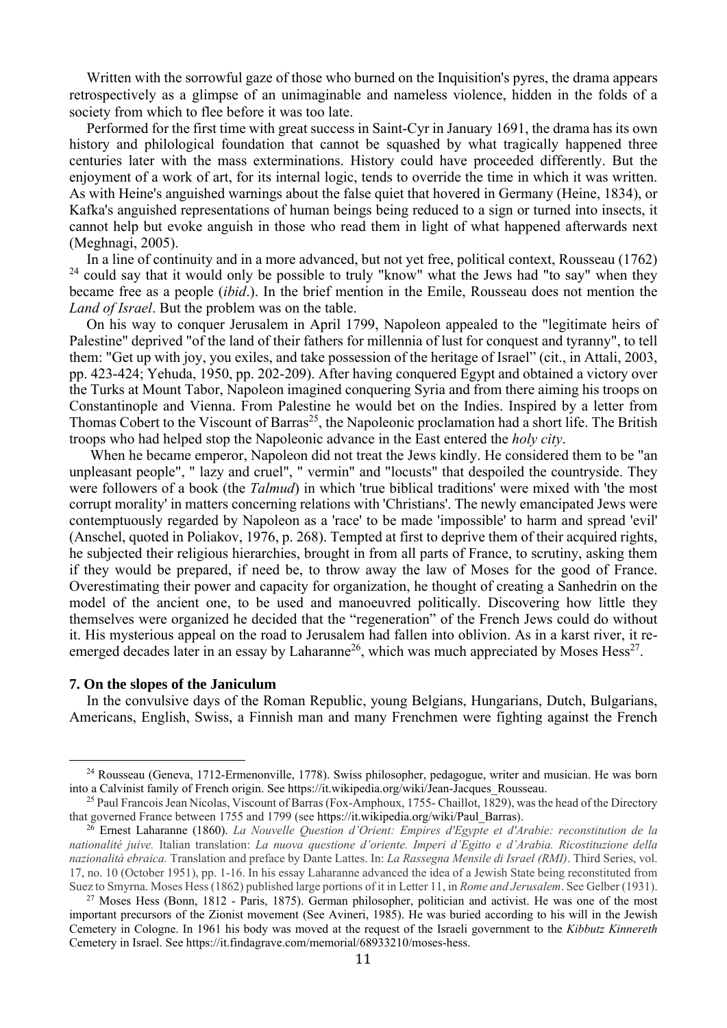Written with the sorrowful gaze of those who burned on the Inquisition's pyres, the drama appears retrospectively as a glimpse of an unimaginable and nameless violence, hidden in the folds of a society from which to flee before it was too late.

Performed for the first time with great success in Saint-Cyr in January 1691, the drama has its own history and philological foundation that cannot be squashed by what tragically happened three centuries later with the mass exterminations. History could have proceeded differently. But the enjoyment of a work of art, for its internal logic, tends to override the time in which it was written. As with Heine's anguished warnings about the false quiet that hovered in Germany (Heine, 1834), or Kafka's anguished representations of human beings being reduced to a sign or turned into insects, it cannot help but evoke anguish in those who read them in light of what happened afterwards next (Meghnagi, 2005).

In a line of continuity and in a more advanced, but not yet free, political context, Rousseau (1762) <sup>24</sup> could say that it would only be possible to truly "know" what the Jews had "to say" when they became free as a people (*ibid*.). In the brief mention in the Emile, Rousseau does not mention the *Land of Israel*. But the problem was on the table.

On his way to conquer Jerusalem in April 1799, Napoleon appealed to the "legitimate heirs of Palestine" deprived "of the land of their fathers for millennia of lust for conquest and tyranny", to tell them: "Get up with joy, you exiles, and take possession of the heritage of Israel" (cit., in Attali, 2003, pp. 423-424; Yehuda, 1950, pp. 202-209). After having conquered Egypt and obtained a victory over the Turks at Mount Tabor, Napoleon imagined conquering Syria and from there aiming his troops on Constantinople and Vienna. From Palestine he would bet on the Indies. Inspired by a letter from Thomas Cobert to the Viscount of Barras<sup>25</sup>, the Napoleonic proclamation had a short life. The British troops who had helped stop the Napoleonic advance in the East entered the *holy city*.

 When he became emperor, Napoleon did not treat the Jews kindly. He considered them to be "an unpleasant people", " lazy and cruel", " vermin" and "locusts" that despoiled the countryside. They were followers of a book (the *Talmud*) in which 'true biblical traditions' were mixed with 'the most corrupt morality' in matters concerning relations with 'Christians'. The newly emancipated Jews were contemptuously regarded by Napoleon as a 'race' to be made 'impossible' to harm and spread 'evil' (Anschel, quoted in Poliakov, 1976, p. 268). Tempted at first to deprive them of their acquired rights, he subjected their religious hierarchies, brought in from all parts of France, to scrutiny, asking them if they would be prepared, if need be, to throw away the law of Moses for the good of France. Overestimating their power and capacity for organization, he thought of creating a Sanhedrin on the model of the ancient one, to be used and manoeuvred politically. Discovering how little they themselves were organized he decided that the "regeneration" of the French Jews could do without it. His mysterious appeal on the road to Jerusalem had fallen into oblivion. As in a karst river, it reemerged decades later in an essay by Laharanne<sup>26</sup>, which was much appreciated by Moses Hess<sup>27</sup>.

## **7. On the slopes of the Janiculum**

In the convulsive days of the Roman Republic, young Belgians, Hungarians, Dutch, Bulgarians, Americans, English, Swiss, a Finnish man and many Frenchmen were fighting against the French

<sup>24</sup> Rousseau (Geneva, 1712-Ermenonville, 1778). Swiss philosopher, pedagogue, writer and musician. He was born into a Calvinist family of French origin. See https://it.wikipedia.org/wiki/Jean-Jacques\_Rousseau. 25 Paul Francois Jean Nicolas, Viscount of Barras (Fox-Amphoux, 1755- Chaillot, 1829), was the head of the Directory

that governed France between 1755 and 1799 (see https://it.wikipedia.org/wiki/Paul\_Barras). 26 Ernest Laharanne (1860). *La Nouvelle Question d'Orient: Empires d'Egypte et d'Arabie: reconstitution de la* 

*nationalité juive.* Italian translation: *La nuova questione d'oriente. Imperi d'Egitto e d'Arabia. Ricostituzione della nazionalità ebraica.* Translation and preface by Dante Lattes. In: *La Rassegna Mensile di Israel (RMI)*. Third Series, vol. 17, no. 10 (October 1951), pp. 1-16. In his essay Laharanne advanced the idea of a Jewish State being reconstituted from Suez to Smyrna. Moses Hess (1862) published large portions of it in Letter 11, in Rome and Jerusalem. See Gelber (1931).<br><sup>27</sup> Moses Hess (Bonn, 1812 - Paris, 1875). German philosopher, politician and activist. He was one o

important precursors of the Zionist movement (See Avineri, 1985). He was buried according to his will in the Jewish Cemetery in Cologne. In 1961 his body was moved at the request of the Israeli government to the *Kibbutz Kinnereth* Cemetery in Israel. See https://it.findagrave.com/memorial/68933210/moses-hess.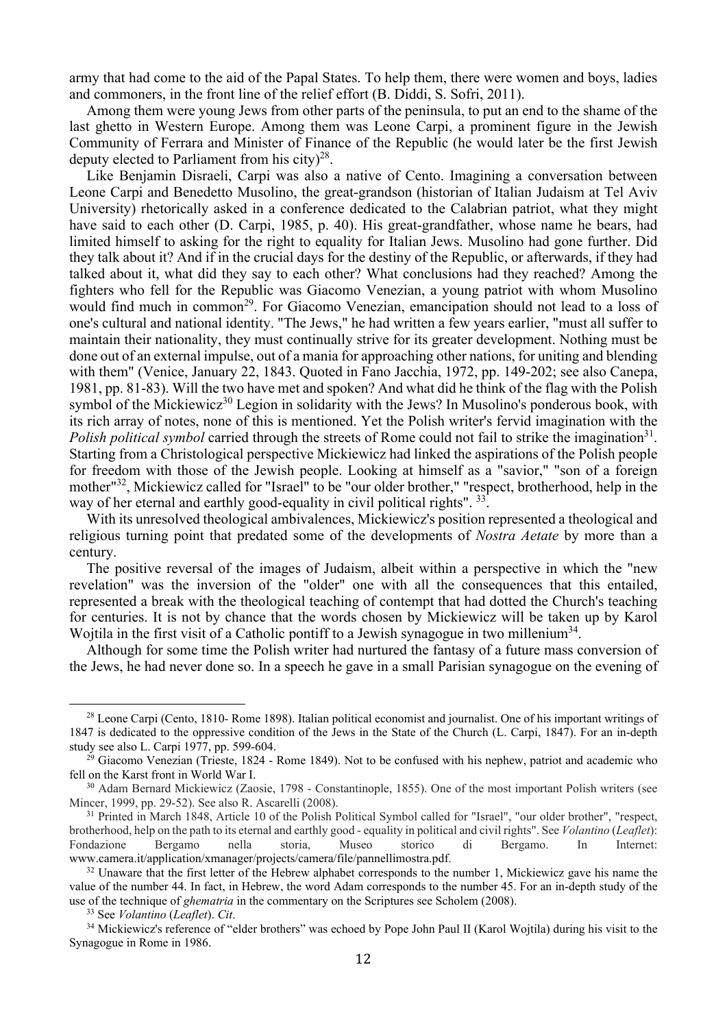army that had come to the aid of the Papal States. To help them, there were women and boys, ladies and commoners, in the front line of the relief effort (B. Diddi, S. Sofri, 2011).

Among them were young Jews from other parts of the peninsula, to put an end to the shame of the last ghetto in Western Europe. Among them was Leone Carpi, a prominent figure in the Jewish Community of Ferrara and Minister of Finance of the Republic (he would later be the first Jewish deputy elected to Parliament from his city $)^{28}$ .

Like Benjamin Disraeli, Carpi was also a native of Cento. Imagining a conversation between Leone Carpi and Benedetto Musolino, the great-grandson (historian of Italian Judaism at Tel Aviv University) rhetorically asked in a conference dedicated to the Calabrian patriot, what they might have said to each other (D. Carpi, 1985, p. 40). His great-grandfather, whose name he bears, had limited himself to asking for the right to equality for Italian Jews. Musolino had gone further. Did they talk about it? And if in the crucial days for the destiny of the Republic, or afterwards, if they had talked about it, what did they say to each other? What conclusions had they reached? Among the fighters who fell for the Republic was Giacomo Venezian, a young patriot with whom Musolino would find much in common<sup>29</sup>. For Giacomo Venezian, emancipation should not lead to a loss of one's cultural and national identity. "The Jews," he had written a few years earlier, "must all suffer to maintain their nationality, they must continually strive for its greater development. Nothing must be done out of an external impulse, out of a mania for approaching other nations, for uniting and blending with them" (Venice, January 22, 1843. Quoted in Fano Jacchia, 1972, pp. 149-202; see also Canepa, 1981, pp. 81-83). Will the two have met and spoken? And what did he think of the flag with the Polish symbol of the Mickiewicz<sup>30</sup> Legion in solidarity with the Jews? In Musolino's ponderous book, with its rich array of notes, none of this is mentioned. Yet the Polish writer's fervid imagination with the *Polish political symbol* carried through the streets of Rome could not fail to strike the imagination<sup>31</sup>. Starting from a Christological perspective Mickiewicz had linked the aspirations of the Polish people for freedom with those of the Jewish people. Looking at himself as a "savior," "son of a foreign mother"32, Mickiewicz called for "Israel" to be "our older brother," "respect, brotherhood, help in the way of her eternal and earthly good-equality in civil political rights". <sup>33</sup>.

With its unresolved theological ambivalences, Mickiewicz's position represented a theological and religious turning point that predated some of the developments of *Nostra Aetate* by more than a century.

The positive reversal of the images of Judaism, albeit within a perspective in which the "new revelation" was the inversion of the "older" one with all the consequences that this entailed, represented a break with the theological teaching of contempt that had dotted the Church's teaching for centuries. It is not by chance that the words chosen by Mickiewicz will be taken up by Karol Wojtila in the first visit of a Catholic pontiff to a Jewish synagogue in two millenium<sup>34</sup>.

Although for some time the Polish writer had nurtured the fantasy of a future mass conversion of the Jews, he had never done so. In a speech he gave in a small Parisian synagogue on the evening of

<sup>&</sup>lt;sup>28</sup> Leone Carpi (Cento, 1810- Rome 1898). Italian political economist and journalist. One of his important writings of 1847 is dedicated to the oppressive condition of the Jews in the State of the Church (L. Carpi, 1847). For an in-depth

study see also L. Carpi 1977, pp. 599-604.<br><sup>29</sup> Giacomo Venezian (Trieste, 1824 - Rome 1849). Not to be confused with his nephew, patriot and academic who<br>fell on the Karst front in World War I.

 $30$  Adam Bernard Mickiewicz (Zaosie, 1798 - Constantinople, 1855). One of the most important Polish writers (see Mincer, 1999, pp. 29-52). See also R. Ascarelli (2008).

<sup>&</sup>lt;sup>31</sup> Printed in March 1848, Article 10 of the Polish Political Symbol called for "Israel", "our older brother", "respect, brotherhood, help on the path to its eternal and earthly good - equality in political and civil rights". See *Volantino* (*Leaflet*): Fondazione Bergamo nella storia, Museo storico di Bergamo. In Internet:

www.camera.it/application/xmanager/projects/camera/file/pannellimostra.pdf.<br><sup>32</sup> Unaware that the first letter of the Hebrew alphabet corresponds to the number 1, Mickiewicz gave his name the value of the number 44. In fact, in Hebrew, the word Adam corresponds to the number 45. For an in-depth study of the use of the technique of *ghematria* in the commentary on the Scriptures see Scholem (2008).<br><sup>33</sup> See *Volantino* (*Leaflet*). *Cit.*<br><sup>34</sup> Mickiewicz's reference of "elder brothers" was echoed by Pope John Paul II (Karol Wo

Synagogue in Rome in 1986.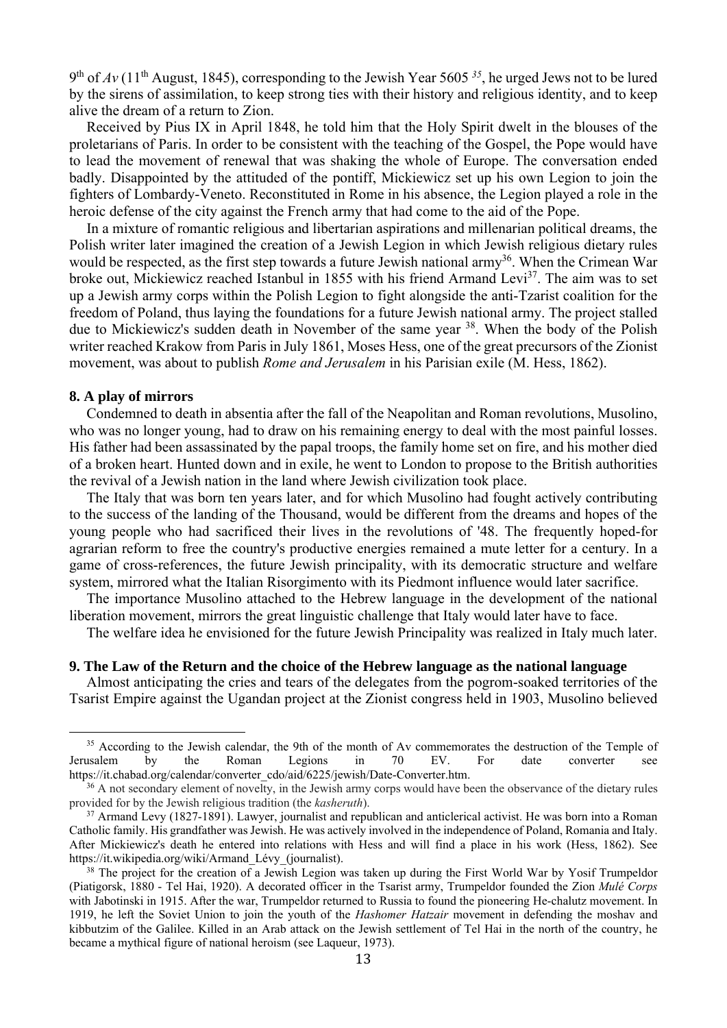9th of *Av* (11th August, 1845), corresponding to the Jewish Year 5605 *<sup>35</sup>*, he urged Jews not to be lured by the sirens of assimilation, to keep strong ties with their history and religious identity, and to keep alive the dream of a return to Zion.

Received by Pius IX in April 1848, he told him that the Holy Spirit dwelt in the blouses of the proletarians of Paris. In order to be consistent with the teaching of the Gospel, the Pope would have to lead the movement of renewal that was shaking the whole of Europe. The conversation ended badly. Disappointed by the attituded of the pontiff, Mickiewicz set up his own Legion to join the fighters of Lombardy-Veneto. Reconstituted in Rome in his absence, the Legion played a role in the heroic defense of the city against the French army that had come to the aid of the Pope.

In a mixture of romantic religious and libertarian aspirations and millenarian political dreams, the Polish writer later imagined the creation of a Jewish Legion in which Jewish religious dietary rules would be respected, as the first step towards a future Jewish national army<sup>36</sup>. When the Crimean War broke out, Mickiewicz reached Istanbul in 1855 with his friend Armand Levi<sup>37</sup>. The aim was to set up a Jewish army corps within the Polish Legion to fight alongside the anti-Tzarist coalition for the freedom of Poland, thus laying the foundations for a future Jewish national army. The project stalled due to Mickiewicz's sudden death in November of the same year <sup>38</sup>. When the body of the Polish writer reached Krakow from Paris in July 1861, Moses Hess, one of the great precursors of the Zionist movement, was about to publish *Rome and Jerusalem* in his Parisian exile (M. Hess, 1862).

# **8. A play of mirrors**

Condemned to death in absentia after the fall of the Neapolitan and Roman revolutions, Musolino, who was no longer young, had to draw on his remaining energy to deal with the most painful losses. His father had been assassinated by the papal troops, the family home set on fire, and his mother died of a broken heart. Hunted down and in exile, he went to London to propose to the British authorities the revival of a Jewish nation in the land where Jewish civilization took place.

The Italy that was born ten years later, and for which Musolino had fought actively contributing to the success of the landing of the Thousand, would be different from the dreams and hopes of the young people who had sacrificed their lives in the revolutions of '48. The frequently hoped-for agrarian reform to free the country's productive energies remained a mute letter for a century. In a game of cross-references, the future Jewish principality, with its democratic structure and welfare system, mirrored what the Italian Risorgimento with its Piedmont influence would later sacrifice.

The importance Musolino attached to the Hebrew language in the development of the national liberation movement, mirrors the great linguistic challenge that Italy would later have to face.

The welfare idea he envisioned for the future Jewish Principality was realized in Italy much later.

#### **9. The Law of the Return and the choice of the Hebrew language as the national language**

Almost anticipating the cries and tears of the delegates from the pogrom-soaked territories of the Tsarist Empire against the Ugandan project at the Zionist congress held in 1903, Musolino believed

<sup>&</sup>lt;sup>35</sup> According to the Jewish calendar, the 9th of the month of Ay commemorates the destruction of the Temple of Jerusalem by the Roman Legions in 70 EV. For date converter see https://it.chabad.org/calendar/converter\_cdo/aid/6225/jewish/Date-Converter.htm.<br><sup>36</sup> A not secondary element of novelty, in the Jewish army corps would have been the observance of the dietary rules

provided for by the Jewish religious tradition (the *kasheruth*).

<sup>&</sup>lt;sup>37</sup> Armand Levy (1827-1891). Lawyer, journalist and republican and anticlerical activist. He was born into a Roman Catholic family. His grandfather was Jewish. He was actively involved in the independence of Poland, Romania and Italy. After Mickiewicz's death he entered into relations with Hess and will find a place in his work (Hess, 1862). See https://it.wikipedia.org/wiki/Armand\_Lévy\_(journalist).<br><sup>38</sup> The project for the creation of a Jewish Legion was taken up during the First World War by Yosif Trumpeldor

<sup>(</sup>Piatigorsk, 1880 - Tel Hai, 1920). A decorated officer in the Tsarist army, Trumpeldor founded the Zion *Mulé Corps* with Jabotinski in 1915. After the war, Trumpeldor returned to Russia to found the pioneering He-chalutz movement. In 1919, he left the Soviet Union to join the youth of the *Hashomer Hatzair* movement in defending the moshav and kibbutzim of the Galilee. Killed in an Arab attack on the Jewish settlement of Tel Hai in the north of the country, he became a mythical figure of national heroism (see Laqueur, 1973).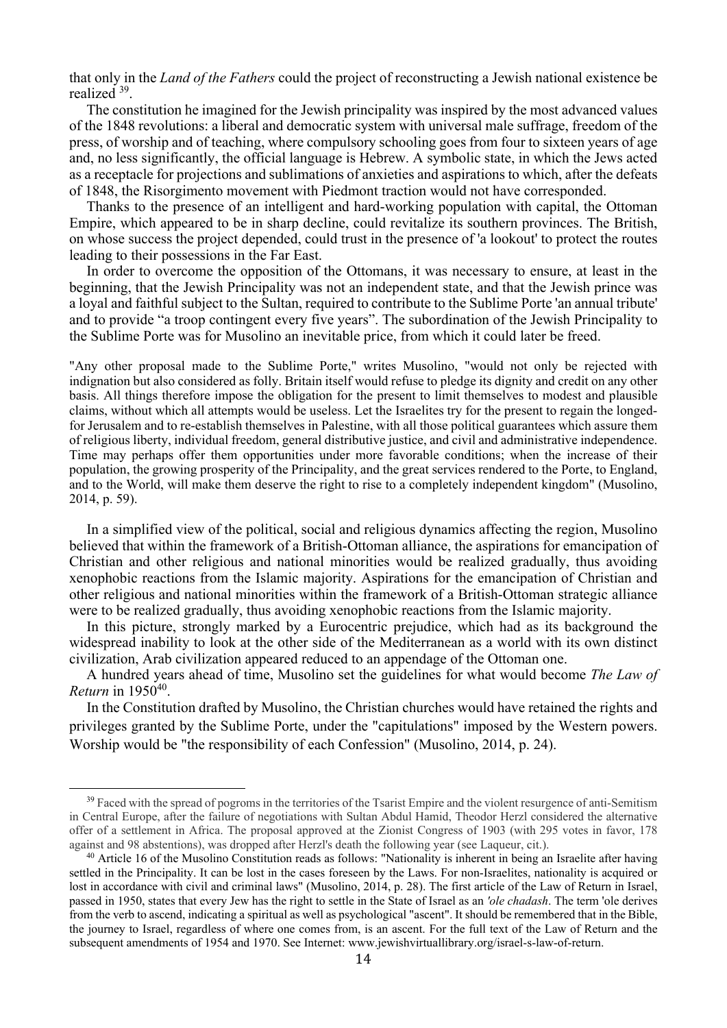that only in the *Land of the Fathers* could the project of reconstructing a Jewish national existence be realized 39.

The constitution he imagined for the Jewish principality was inspired by the most advanced values of the 1848 revolutions: a liberal and democratic system with universal male suffrage, freedom of the press, of worship and of teaching, where compulsory schooling goes from four to sixteen years of age and, no less significantly, the official language is Hebrew. A symbolic state, in which the Jews acted as a receptacle for projections and sublimations of anxieties and aspirations to which, after the defeats of 1848, the Risorgimento movement with Piedmont traction would not have corresponded.

Thanks to the presence of an intelligent and hard-working population with capital, the Ottoman Empire, which appeared to be in sharp decline, could revitalize its southern provinces. The British, on whose success the project depended, could trust in the presence of 'a lookout' to protect the routes leading to their possessions in the Far East.

In order to overcome the opposition of the Ottomans, it was necessary to ensure, at least in the beginning, that the Jewish Principality was not an independent state, and that the Jewish prince was a loyal and faithful subject to the Sultan, required to contribute to the Sublime Porte 'an annual tribute' and to provide "a troop contingent every five years". The subordination of the Jewish Principality to the Sublime Porte was for Musolino an inevitable price, from which it could later be freed.

"Any other proposal made to the Sublime Porte," writes Musolino, "would not only be rejected with indignation but also considered as folly. Britain itself would refuse to pledge its dignity and credit on any other basis. All things therefore impose the obligation for the present to limit themselves to modest and plausible claims, without which all attempts would be useless. Let the Israelites try for the present to regain the longedfor Jerusalem and to re-establish themselves in Palestine, with all those political guarantees which assure them of religious liberty, individual freedom, general distributive justice, and civil and administrative independence. Time may perhaps offer them opportunities under more favorable conditions; when the increase of their population, the growing prosperity of the Principality, and the great services rendered to the Porte, to England, and to the World, will make them deserve the right to rise to a completely independent kingdom" (Musolino, 2014, p. 59).

In a simplified view of the political, social and religious dynamics affecting the region, Musolino believed that within the framework of a British-Ottoman alliance, the aspirations for emancipation of Christian and other religious and national minorities would be realized gradually, thus avoiding xenophobic reactions from the Islamic majority. Aspirations for the emancipation of Christian and other religious and national minorities within the framework of a British-Ottoman strategic alliance were to be realized gradually, thus avoiding xenophobic reactions from the Islamic majority.

In this picture, strongly marked by a Eurocentric prejudice, which had as its background the widespread inability to look at the other side of the Mediterranean as a world with its own distinct civilization, Arab civilization appeared reduced to an appendage of the Ottoman one.

A hundred years ahead of time, Musolino set the guidelines for what would become *The Law of Return* in 1950<sup>40</sup>.

In the Constitution drafted by Musolino, the Christian churches would have retained the rights and privileges granted by the Sublime Porte, under the "capitulations" imposed by the Western powers. Worship would be "the responsibility of each Confession" (Musolino, 2014, p. 24).

<sup>&</sup>lt;sup>39</sup> Faced with the spread of pogroms in the territories of the Tsarist Empire and the violent resurgence of anti-Semitism in Central Europe, after the failure of negotiations with Sultan Abdul Hamid, Theodor Herzl considered the alternative offer of a settlement in Africa. The proposal approved at the Zionist Congress of 1903 (with 295 votes in favor, 178 against and 98 abstentions), was dropped after Herzl's death the following year (see Laqueur, cit.). 40 Article 16 of the Musolino Constitution reads as follows: "Nationality is inherent in being an Israelite after having

settled in the Principality. It can be lost in the cases foreseen by the Laws. For non-Israelites, nationality is acquired or lost in accordance with civil and criminal laws" (Musolino, 2014, p. 28). The first article of the Law of Return in Israel, passed in 1950, states that every Jew has the right to settle in the State of Israel as an *'ole chadash*. The term 'ole derives from the verb to ascend, indicating a spiritual as well as psychological "ascent". It should be remembered that in the Bible, the journey to Israel, regardless of where one comes from, is an ascent. For the full text of the Law of Return and the subsequent amendments of 1954 and 1970. See Internet: www.jewishvirtuallibrary.org/israel-s-law-of-return.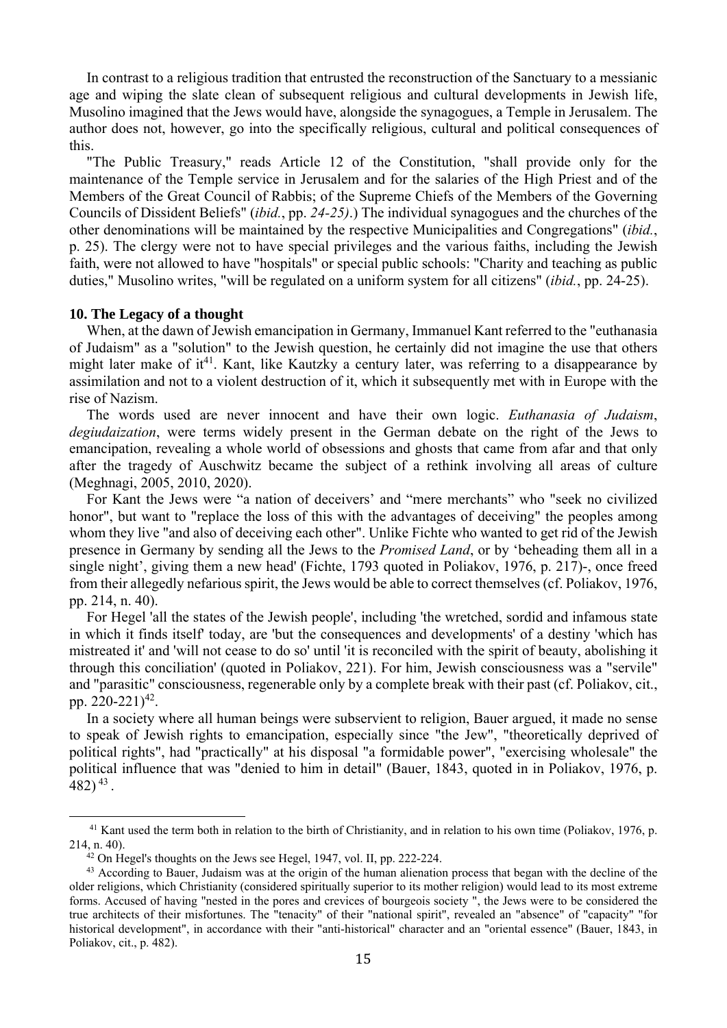In contrast to a religious tradition that entrusted the reconstruction of the Sanctuary to a messianic age and wiping the slate clean of subsequent religious and cultural developments in Jewish life, Musolino imagined that the Jews would have, alongside the synagogues, a Temple in Jerusalem. The author does not, however, go into the specifically religious, cultural and political consequences of this.

"The Public Treasury," reads Article 12 of the Constitution, "shall provide only for the maintenance of the Temple service in Jerusalem and for the salaries of the High Priest and of the Members of the Great Council of Rabbis; of the Supreme Chiefs of the Members of the Governing Councils of Dissident Beliefs" (*ibid.*, pp. *24-25)*.) The individual synagogues and the churches of the other denominations will be maintained by the respective Municipalities and Congregations" (*ibid.*, p. 25). The clergy were not to have special privileges and the various faiths, including the Jewish faith, were not allowed to have "hospitals" or special public schools: "Charity and teaching as public duties," Musolino writes, "will be regulated on a uniform system for all citizens" (*ibid.*, pp. 24-25).

## **10. The Legacy of a thought**

When, at the dawn of Jewish emancipation in Germany, Immanuel Kant referred to the "euthanasia of Judaism" as a "solution" to the Jewish question, he certainly did not imagine the use that others might later make of  $it^{41}$ . Kant, like Kautzky a century later, was referring to a disappearance by assimilation and not to a violent destruction of it, which it subsequently met with in Europe with the rise of Nazism.

The words used are never innocent and have their own logic. *Euthanasia of Judaism*, *degiudaization*, were terms widely present in the German debate on the right of the Jews to emancipation, revealing a whole world of obsessions and ghosts that came from afar and that only after the tragedy of Auschwitz became the subject of a rethink involving all areas of culture (Meghnagi, 2005, 2010, 2020).

For Kant the Jews were "a nation of deceivers' and "mere merchants" who "seek no civilized honor", but want to "replace the loss of this with the advantages of deceiving" the peoples among whom they live "and also of deceiving each other". Unlike Fichte who wanted to get rid of the Jewish presence in Germany by sending all the Jews to the *Promised Land*, or by 'beheading them all in a single night', giving them a new head' (Fichte, 1793 quoted in Poliakov, 1976, p. 217)-, once freed from their allegedly nefarious spirit, the Jews would be able to correct themselves (cf. Poliakov, 1976, pp. 214, n. 40).

For Hegel 'all the states of the Jewish people', including 'the wretched, sordid and infamous state in which it finds itself' today, are 'but the consequences and developments' of a destiny 'which has mistreated it' and 'will not cease to do so' until 'it is reconciled with the spirit of beauty, abolishing it through this conciliation' (quoted in Poliakov, 221). For him, Jewish consciousness was a "servile" and "parasitic" consciousness, regenerable only by a complete break with their past (cf. Poliakov, cit., pp.  $220-221$ <sup>42</sup>.

In a society where all human beings were subservient to religion, Bauer argued, it made no sense to speak of Jewish rights to emancipation, especially since "the Jew", "theoretically deprived of political rights", had "practically" at his disposal "a formidable power", "exercising wholesale" the political influence that was "denied to him in detail" (Bauer, 1843, quoted in in Poliakov, 1976, p.  $(482)^{43}$ .

<sup>&</sup>lt;sup>41</sup> Kant used the term both in relation to the birth of Christianity, and in relation to his own time (Poliakov, 1976, p. 214, n. 40). 42 On Hegel's thoughts on the Jews see Hegel, 1947, vol. II, pp. 222-224.

<sup>&</sup>lt;sup>43</sup> According to Bauer, Judaism was at the origin of the human alienation process that began with the decline of the older religions, which Christianity (considered spiritually superior to its mother religion) would lead to its most extreme forms. Accused of having "nested in the pores and crevices of bourgeois society ", the Jews were to be considered the true architects of their misfortunes. The "tenacity" of their "national spirit", revealed an "absence" of "capacity" "for historical development", in accordance with their "anti-historical" character and an "oriental essence" (Bauer, 1843, in Poliakov, cit., p. 482).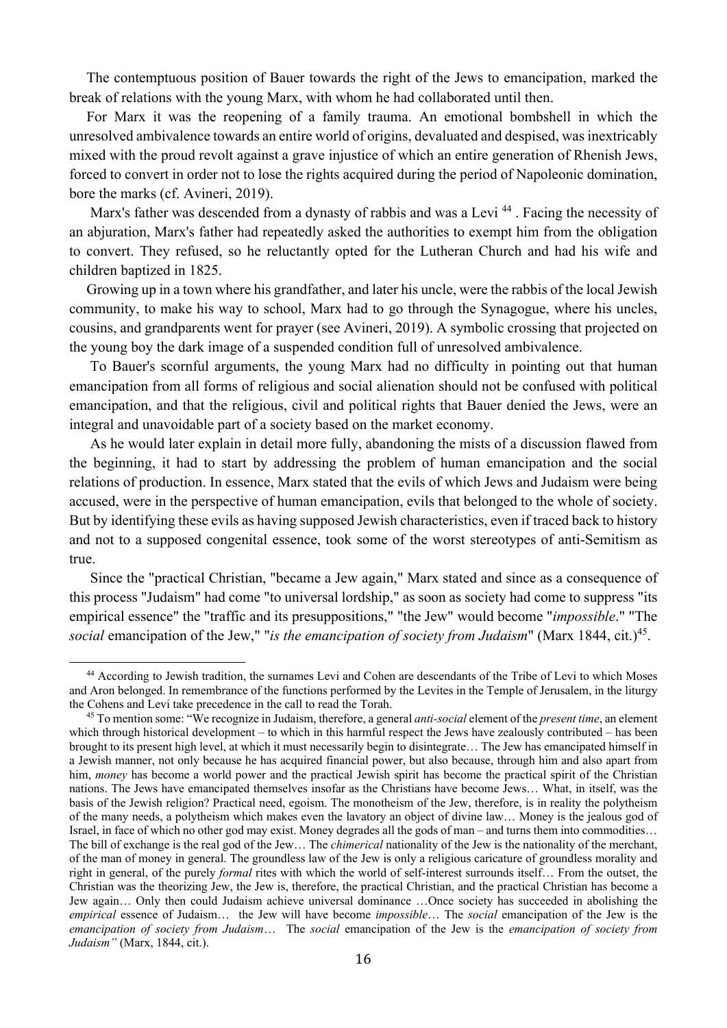The contemptuous position of Bauer towards the right of the Jews to emancipation, marked the break of relations with the young Marx, with whom he had collaborated until then.

For Marx it was the reopening of a family trauma. An emotional bombshell in which the unresolved ambivalence towards an entire world of origins, devaluated and despised, was inextricably mixed with the proud revolt against a grave injustice of which an entire generation of Rhenish Jews, forced to convert in order not to lose the rights acquired during the period of Napoleonic domination, bore the marks (cf. Avineri, 2019).

Marx's father was descended from a dynasty of rabbis and was a Levi<sup>44</sup>. Facing the necessity of an abjuration, Marx's father had repeatedly asked the authorities to exempt him from the obligation to convert. They refused, so he reluctantly opted for the Lutheran Church and had his wife and children baptized in 1825.

Growing up in a town where his grandfather, and later his uncle, were the rabbis of the local Jewish community, to make his way to school, Marx had to go through the Synagogue, where his uncles, cousins, and grandparents went for prayer (see Avineri, 2019). A symbolic crossing that projected on the young boy the dark image of a suspended condition full of unresolved ambivalence.

 To Bauer's scornful arguments, the young Marx had no difficulty in pointing out that human emancipation from all forms of religious and social alienation should not be confused with political emancipation, and that the religious, civil and political rights that Bauer denied the Jews, were an integral and unavoidable part of a society based on the market economy.

 As he would later explain in detail more fully, abandoning the mists of a discussion flawed from the beginning, it had to start by addressing the problem of human emancipation and the social relations of production. In essence, Marx stated that the evils of which Jews and Judaism were being accused, were in the perspective of human emancipation, evils that belonged to the whole of society. But by identifying these evils as having supposed Jewish characteristics, even if traced back to history and not to a supposed congenital essence, took some of the worst stereotypes of anti-Semitism as true.

 Since the "practical Christian, "became a Jew again," Marx stated and since as a consequence of this process "Judaism" had come "to universal lordship," as soon as society had come to suppress "its empirical essence" the "traffic and its presuppositions," "the Jew" would become "*impossible*." "The *social* emancipation of the Jew," "*is the emancipation of society from Judaism*" (Marx 1844, cit.)<sup>45</sup>.

<sup>44</sup> According to Jewish tradition, the surnames Levi and Cohen are descendants of the Tribe of Levi to which Moses and Aron belonged. In remembrance of the functions performed by the Levites in the Temple of Jerusalem, in the liturgy the Cohens and Levi take precedence in the call to read the Torah. 45 To mention some: "We recognize in Judaism, therefore, a general *anti-social* element of the *present time*, an element

which through historical development – to which in this harmful respect the Jews have zealously contributed – has been brought to its present high level, at which it must necessarily begin to disintegrate… The Jew has emancipated himself in a Jewish manner, not only because he has acquired financial power, but also because, through him and also apart from him, *money* has become a world power and the practical Jewish spirit has become the practical spirit of the Christian nations. The Jews have emancipated themselves insofar as the Christians have become Jews… What, in itself, was the basis of the Jewish religion? Practical need, egoism. The monotheism of the Jew, therefore, is in reality the polytheism of the many needs, a polytheism which makes even the lavatory an object of divine law… Money is the jealous god of Israel, in face of which no other god may exist. Money degrades all the gods of man – and turns them into commodities… The bill of exchange is the real god of the Jew… The *chimerical* nationality of the Jew is the nationality of the merchant, of the man of money in general. The groundless law of the Jew is only a religious caricature of groundless morality and right in general, of the purely *formal* rites with which the world of self-interest surrounds itself… From the outset, the Christian was the theorizing Jew, the Jew is, therefore, the practical Christian, and the practical Christian has become a Jew again… Only then could Judaism achieve universal dominance …Once society has succeeded in abolishing the *empirical* essence of Judaism… the Jew will have become *impossible*… The *social* emancipation of the Jew is the *emancipation of society from Judaism*… The *social* emancipation of the Jew is the *emancipation of society from Judaism"* (Marx, 1844, cit.).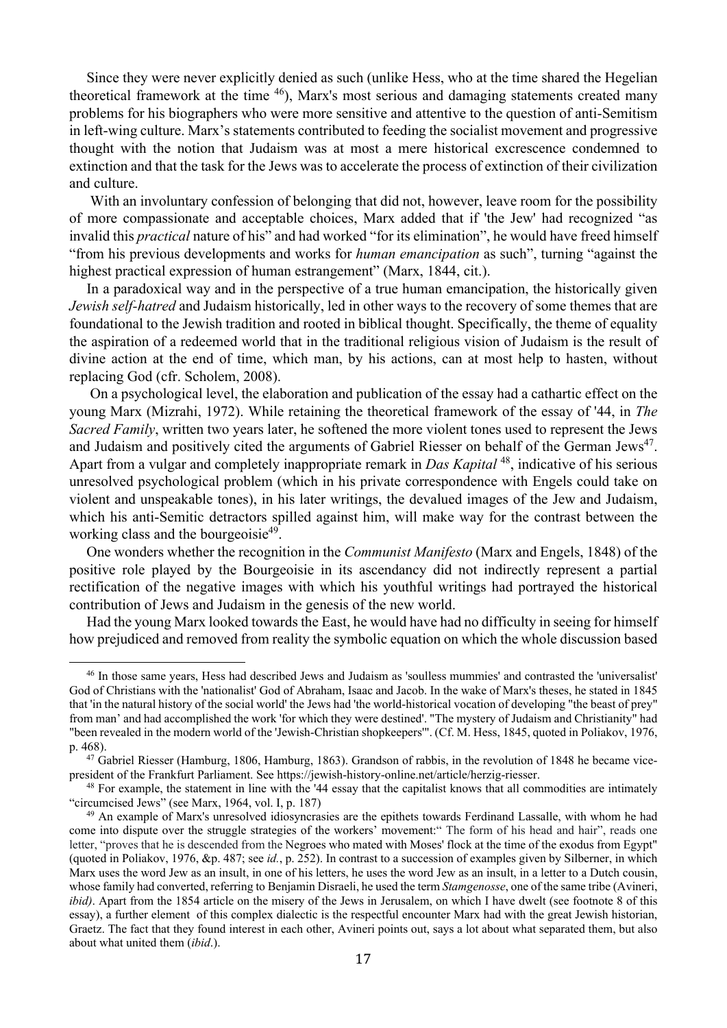Since they were never explicitly denied as such (unlike Hess, who at the time shared the Hegelian theoretical framework at the time <sup>46</sup>), Marx's most serious and damaging statements created many problems for his biographers who were more sensitive and attentive to the question of anti-Semitism in left-wing culture. Marx's statements contributed to feeding the socialist movement and progressive thought with the notion that Judaism was at most a mere historical excrescence condemned to extinction and that the task for the Jews was to accelerate the process of extinction of their civilization and culture.

With an involuntary confession of belonging that did not, however, leave room for the possibility of more compassionate and acceptable choices, Marx added that if 'the Jew' had recognized "as invalid this *practical* nature of his" and had worked "for its elimination", he would have freed himself "from his previous developments and works for *human emancipation* as such", turning "against the highest practical expression of human estrangement" (Marx, 1844, cit.).

In a paradoxical way and in the perspective of a true human emancipation, the historically given *Jewish self-hatred* and Judaism historically, led in other ways to the recovery of some themes that are foundational to the Jewish tradition and rooted in biblical thought. Specifically, the theme of equality the aspiration of a redeemed world that in the traditional religious vision of Judaism is the result of divine action at the end of time, which man, by his actions, can at most help to hasten, without replacing God (cfr. Scholem, 2008).

 On a psychological level, the elaboration and publication of the essay had a cathartic effect on the young Marx (Mizrahi, 1972). While retaining the theoretical framework of the essay of '44, in *The Sacred Family*, written two years later, he softened the more violent tones used to represent the Jews and Judaism and positively cited the arguments of Gabriel Riesser on behalf of the German Jews<sup>47</sup>. Apart from a vulgar and completely inappropriate remark in *Das Kapital* 48, indicative of his serious unresolved psychological problem (which in his private correspondence with Engels could take on violent and unspeakable tones), in his later writings, the devalued images of the Jew and Judaism, which his anti-Semitic detractors spilled against him, will make way for the contrast between the working class and the bourgeoisie<sup>49</sup>.

One wonders whether the recognition in the *Communist Manifesto* (Marx and Engels, 1848) of the positive role played by the Bourgeoisie in its ascendancy did not indirectly represent a partial rectification of the negative images with which his youthful writings had portrayed the historical contribution of Jews and Judaism in the genesis of the new world.

Had the young Marx looked towards the East, he would have had no difficulty in seeing for himself how prejudiced and removed from reality the symbolic equation on which the whole discussion based

<sup>46</sup> In those same years, Hess had described Jews and Judaism as 'soulless mummies' and contrasted the 'universalist' God of Christians with the 'nationalist' God of Abraham, Isaac and Jacob. In the wake of Marx's theses, he stated in 1845 that 'in the natural history of the social world' the Jews had 'the world-historical vocation of developing "the beast of prey" from man' and had accomplished the work 'for which they were destined'. "The mystery of Judaism and Christianity" had "been revealed in the modern world of the 'Jewish-Christian shopkeepers'". (Cf. M. Hess, 1845, quoted in Poliakov, 1976,

p. 468).<br><sup>47</sup> Gabriel Riesser (Hamburg, 1806, Hamburg, 1863). Grandson of rabbis, in the revolution of 1848 he became vice-<br>president of the Frankfurt Parliament. See https://jewish-history-online.net/article/herzig-riesse

<sup>&</sup>lt;sup>48</sup> For example, the statement in line with the '44 essay that the capitalist knows that all commodities are intimately "circumcised Jews" (see Marx, 1964, vol. I, p. 187)

<sup>&</sup>lt;sup>49</sup> An example of Marx's unresolved idiosyncrasies are the epithets towards Ferdinand Lassalle, with whom he had come into dispute over the struggle strategies of the workers' movement:" The form of his head and hair", reads one letter, "proves that he is descended from the Negroes who mated with Moses' flock at the time of the exodus from Egypt" (quoted in Poliakov, 1976, &p. 487; see *id.*, p. 252). In contrast to a succession of examples given by Silberner, in which Marx uses the word Jew as an insult, in one of his letters, he uses the word Jew as an insult, in a letter to a Dutch cousin, whose family had converted, referring to Benjamin Disraeli, he used the term *Stamgenosse*, one of the same tribe (Avineri, *ibid*). Apart from the 1854 article on the misery of the Jews in Jerusalem, on which I have dwelt (see footnote 8 of this essay), a further element of this complex dialectic is the respectful encounter Marx had with the great Jewish historian, Graetz. The fact that they found interest in each other, Avineri points out, says a lot about what separated them, but also about what united them (*ibid*.).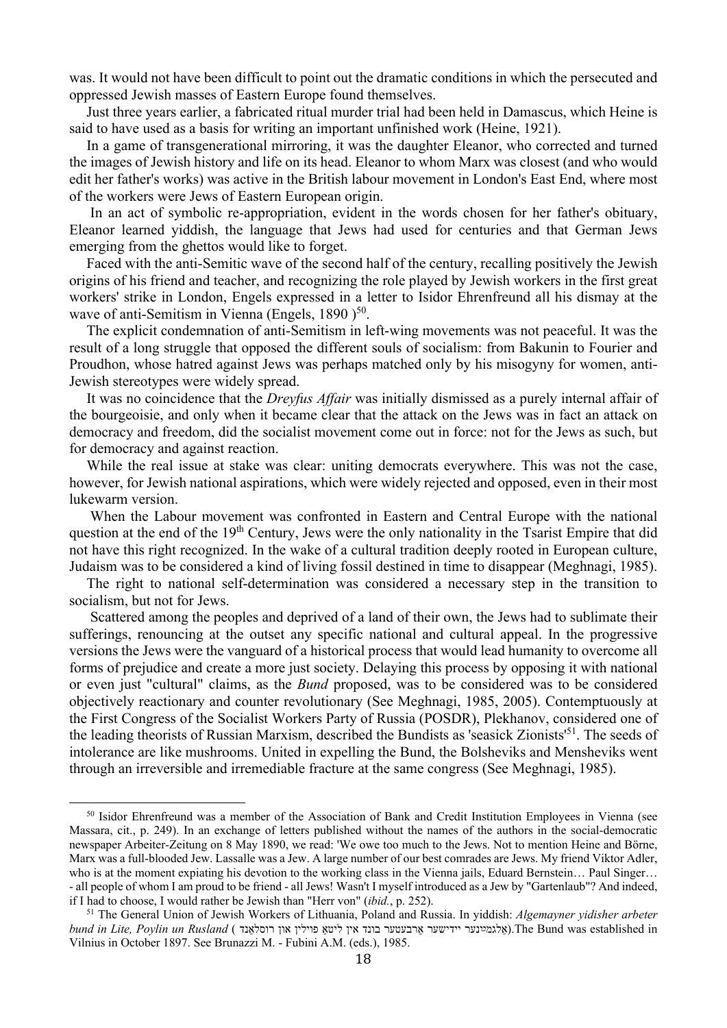was. It would not have been difficult to point out the dramatic conditions in which the persecuted and oppressed Jewish masses of Eastern Europe found themselves.

Just three years earlier, a fabricated ritual murder trial had been held in Damascus, which Heine is said to have used as a basis for writing an important unfinished work (Heine, 1921).

In a game of transgenerational mirroring, it was the daughter Eleanor, who corrected and turned the images of Jewish history and life on its head. Eleanor to whom Marx was closest (and who would edit her father's works) was active in the British labour movement in London's East End, where most of the workers were Jews of Eastern European origin.

 In an act of symbolic re-appropriation, evident in the words chosen for her father's obituary, Eleanor learned yiddish, the language that Jews had used for centuries and that German Jews emerging from the ghettos would like to forget.

Faced with the anti-Semitic wave of the second half of the century, recalling positively the Jewish origins of his friend and teacher, and recognizing the role played by Jewish workers in the first great workers' strike in London, Engels expressed in a letter to Isidor Ehrenfreund all his dismay at the wave of anti-Semitism in Vienna (Engels, 1890)<sup>50</sup>.

The explicit condemnation of anti-Semitism in left-wing movements was not peaceful. It was the result of a long struggle that opposed the different souls of socialism: from Bakunin to Fourier and Proudhon, whose hatred against Jews was perhaps matched only by his misogyny for women, anti-Jewish stereotypes were widely spread.

It was no coincidence that the *Dreyfus Affair* was initially dismissed as a purely internal affair of the bourgeoisie, and only when it became clear that the attack on the Jews was in fact an attack on democracy and freedom, did the socialist movement come out in force: not for the Jews as such, but for democracy and against reaction.

While the real issue at stake was clear: uniting democrats everywhere. This was not the case, however, for Jewish national aspirations, which were widely rejected and opposed, even in their most lukewarm version.

 When the Labour movement was confronted in Eastern and Central Europe with the national question at the end of the 19th Century, Jews were the only nationality in the Tsarist Empire that did not have this right recognized. In the wake of a cultural tradition deeply rooted in European culture, Judaism was to be considered a kind of living fossil destined in time to disappear (Meghnagi, 1985).

The right to national self-determination was considered a necessary step in the transition to socialism, but not for Jews.

 Scattered among the peoples and deprived of a land of their own, the Jews had to sublimate their sufferings, renouncing at the outset any specific national and cultural appeal. In the progressive versions the Jews were the vanguard of a historical process that would lead humanity to overcome all forms of prejudice and create a more just society. Delaying this process by opposing it with national or even just "cultural" claims, as the *Bund* proposed, was to be considered was to be considered objectively reactionary and counter revolutionary (See Meghnagi, 1985, 2005). Contemptuously at the First Congress of the Socialist Workers Party of Russia (POSDR), Plekhanov, considered one of the leading theorists of Russian Marxism, described the Bundists as 'seasick Zionists'51. The seeds of intolerance are like mushrooms. United in expelling the Bund, the Bolsheviks and Mensheviks went through an irreversible and irremediable fracture at the same congress (See Meghnagi, 1985).

<sup>50</sup> Isidor Ehrenfreund was a member of the Association of Bank and Credit Institution Employees in Vienna (see Massara, cit., p. 249). In an exchange of letters published without the names of the authors in the social-democratic newspaper Arbeiter-Zeitung on 8 May 1890, we read: 'We owe too much to the Jews. Not to mention Heine and Börne, Marx was a full-blooded Jew. Lassalle was a Jew. A large number of our best comrades are Jews. My friend Viktor Adler, who is at the moment expiating his devotion to the working class in the Vienna jails, Eduard Bernstein... Paul Singer... - all people of whom I am proud to be friend - all Jews! Wasn't I myself introduced as a Jew by "Gartenlaub"? And indeed, if I had to choose, I would rather be Jewish than "Herr von" (*ibid.*, p. 252).<br><sup>51</sup> The General Union of Jewish Workers of Lithuania, Poland and Russia. In yiddish: *Algemayner yidisher arbeter* 

*bund in Lite, Poylin un Rusland* ( רוסלאַנד און פוילין ליטאַ אין בונד אַרבעטער ײדישער אַלגמײַנער(.The Bund was established in Vilnius in October 1897. See Brunazzi M. - Fubini A.M. (eds.), 1985.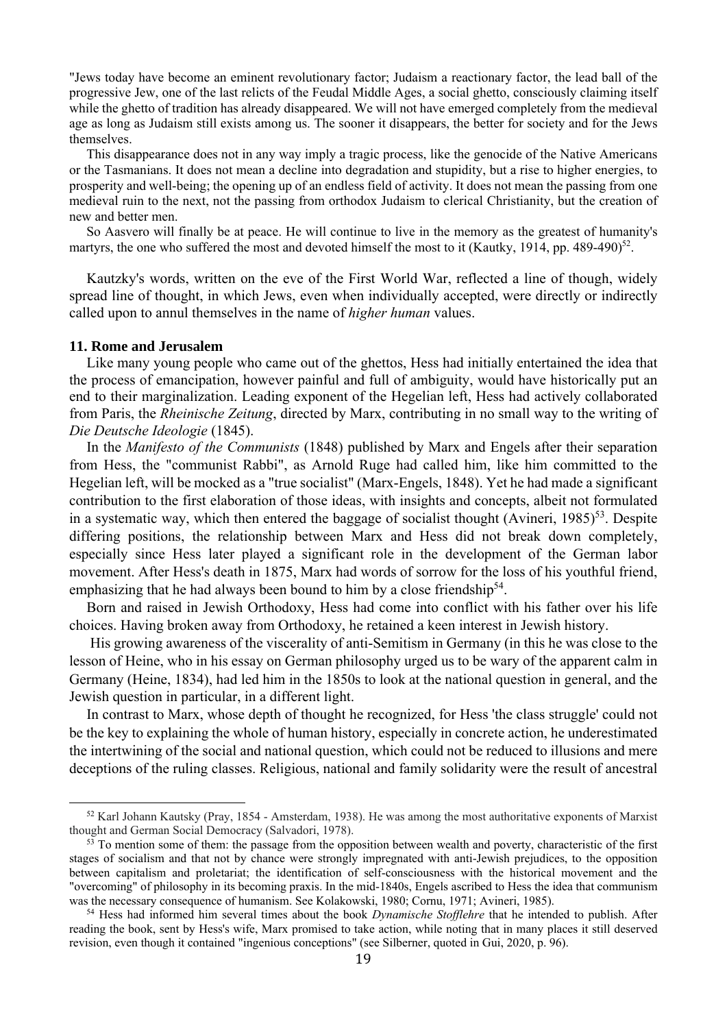"Jews today have become an eminent revolutionary factor; Judaism a reactionary factor, the lead ball of the progressive Jew, one of the last relicts of the Feudal Middle Ages, a social ghetto, consciously claiming itself while the ghetto of tradition has already disappeared. We will not have emerged completely from the medieval age as long as Judaism still exists among us. The sooner it disappears, the better for society and for the Jews themselves.

This disappearance does not in any way imply a tragic process, like the genocide of the Native Americans or the Tasmanians. It does not mean a decline into degradation and stupidity, but a rise to higher energies, to prosperity and well-being; the opening up of an endless field of activity. It does not mean the passing from one medieval ruin to the next, not the passing from orthodox Judaism to clerical Christianity, but the creation of new and better men.

So Aasvero will finally be at peace. He will continue to live in the memory as the greatest of humanity's martyrs, the one who suffered the most and devoted himself the most to it (Kautky, 1914, pp. 489-490)<sup>52</sup>.

Kautzky's words, written on the eve of the First World War, reflected a line of though, widely spread line of thought, in which Jews, even when individually accepted, were directly or indirectly called upon to annul themselves in the name of *higher human* values.

#### **11. Rome and Jerusalem**

Like many young people who came out of the ghettos, Hess had initially entertained the idea that the process of emancipation, however painful and full of ambiguity, would have historically put an end to their marginalization. Leading exponent of the Hegelian left, Hess had actively collaborated from Paris, the *Rheinische Zeitung*, directed by Marx, contributing in no small way to the writing of *Die Deutsche Ideologie* (1845).

In the *Manifesto of the Communists* (1848) published by Marx and Engels after their separation from Hess, the "communist Rabbi", as Arnold Ruge had called him, like him committed to the Hegelian left, will be mocked as a "true socialist" (Marx-Engels, 1848). Yet he had made a significant contribution to the first elaboration of those ideas, with insights and concepts, albeit not formulated in a systematic way, which then entered the baggage of socialist thought (Avineri,  $1985$ )<sup>53</sup>. Despite differing positions, the relationship between Marx and Hess did not break down completely, especially since Hess later played a significant role in the development of the German labor movement. After Hess's death in 1875, Marx had words of sorrow for the loss of his youthful friend, emphasizing that he had always been bound to him by a close friendship<sup>54</sup>.

Born and raised in Jewish Orthodoxy, Hess had come into conflict with his father over his life choices. Having broken away from Orthodoxy, he retained a keen interest in Jewish history.

 His growing awareness of the viscerality of anti-Semitism in Germany (in this he was close to the lesson of Heine, who in his essay on German philosophy urged us to be wary of the apparent calm in Germany (Heine, 1834), had led him in the 1850s to look at the national question in general, and the Jewish question in particular, in a different light.

In contrast to Marx, whose depth of thought he recognized, for Hess 'the class struggle' could not be the key to explaining the whole of human history, especially in concrete action, he underestimated the intertwining of the social and national question, which could not be reduced to illusions and mere deceptions of the ruling classes. Religious, national and family solidarity were the result of ancestral

<sup>52</sup> Karl Johann Kautsky (Pray, 1854 - Amsterdam, 1938). He was among the most authoritative exponents of Marxist thought and German Social Democracy (Salvadori, 1978).

 $53$  To mention some of them: the passage from the opposition between wealth and poverty, characteristic of the first stages of socialism and that not by chance were strongly impregnated with anti-Jewish prejudices, to the opposition between capitalism and proletariat; the identification of self-consciousness with the historical movement and the "overcoming" of philosophy in its becoming praxis. In the mid-1840s, Engels ascribed to Hess the idea that communism was the necessary consequence of humanism. See Kolakowski, 1980; Cornu, 1971; Avineri, 1985). <sup>54</sup> Hess had informed him several times about the book *Dynamische Stofflehre* that he intended to publish. After

reading the book, sent by Hess's wife, Marx promised to take action, while noting that in many places it still deserved revision, even though it contained "ingenious conceptions" (see Silberner, quoted in Gui, 2020, p. 96).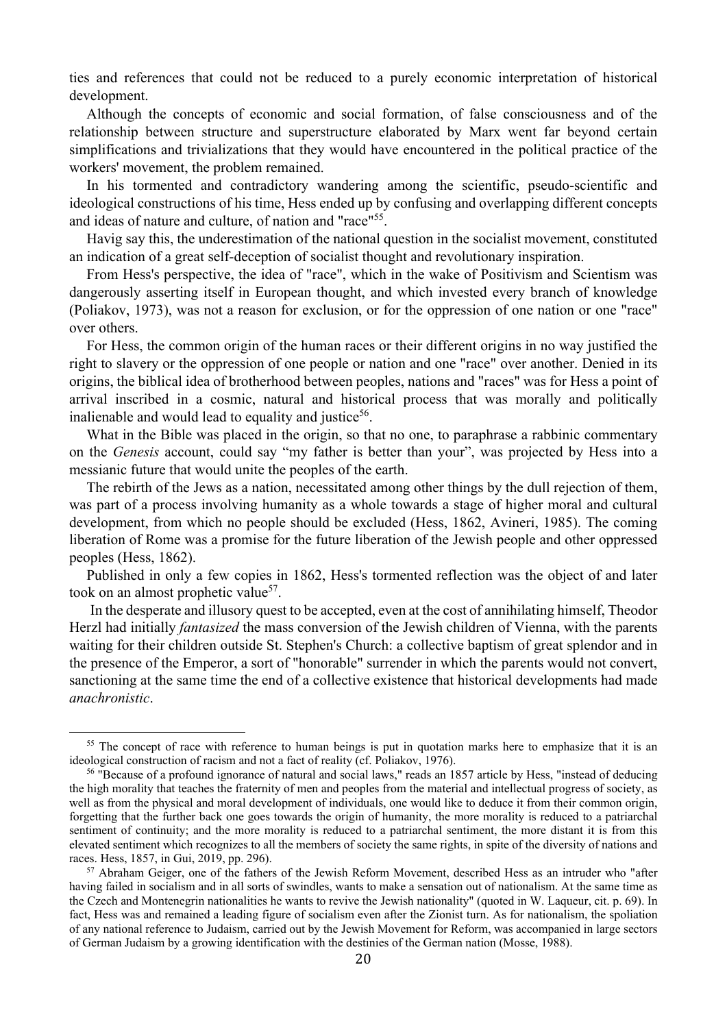ties and references that could not be reduced to a purely economic interpretation of historical development.

Although the concepts of economic and social formation, of false consciousness and of the relationship between structure and superstructure elaborated by Marx went far beyond certain simplifications and trivializations that they would have encountered in the political practice of the workers' movement, the problem remained.

In his tormented and contradictory wandering among the scientific, pseudo-scientific and ideological constructions of his time, Hess ended up by confusing and overlapping different concepts and ideas of nature and culture, of nation and "race"55.

Havig say this, the underestimation of the national question in the socialist movement, constituted an indication of a great self-deception of socialist thought and revolutionary inspiration.

From Hess's perspective, the idea of "race", which in the wake of Positivism and Scientism was dangerously asserting itself in European thought, and which invested every branch of knowledge (Poliakov, 1973), was not a reason for exclusion, or for the oppression of one nation or one "race" over others.

For Hess, the common origin of the human races or their different origins in no way justified the right to slavery or the oppression of one people or nation and one "race" over another. Denied in its origins, the biblical idea of brotherhood between peoples, nations and "races" was for Hess a point of arrival inscribed in a cosmic, natural and historical process that was morally and politically inalienable and would lead to equality and justice<sup>56</sup>.

What in the Bible was placed in the origin, so that no one, to paraphrase a rabbinic commentary on the *Genesis* account, could say "my father is better than your", was projected by Hess into a messianic future that would unite the peoples of the earth.

The rebirth of the Jews as a nation, necessitated among other things by the dull rejection of them, was part of a process involving humanity as a whole towards a stage of higher moral and cultural development, from which no people should be excluded (Hess, 1862, Avineri, 1985). The coming liberation of Rome was a promise for the future liberation of the Jewish people and other oppressed peoples (Hess, 1862).

Published in only a few copies in 1862, Hess's tormented reflection was the object of and later took on an almost prophetic value<sup>57</sup>.

 In the desperate and illusory quest to be accepted, even at the cost of annihilating himself, Theodor Herzl had initially *fantasized* the mass conversion of the Jewish children of Vienna, with the parents waiting for their children outside St. Stephen's Church: a collective baptism of great splendor and in the presence of the Emperor, a sort of "honorable" surrender in which the parents would not convert, sanctioning at the same time the end of a collective existence that historical developments had made *anachronistic*.

<sup>&</sup>lt;sup>55</sup> The concept of race with reference to human beings is put in quotation marks here to emphasize that it is an ideological construction of racism and not a fact of reality (cf. Poliakov, 1976).<br><sup>56</sup> "Because of a profound ignorance of natural and social laws," reads an 1857 article by Hess, "instead of deducing

the high morality that teaches the fraternity of men and peoples from the material and intellectual progress of society, as well as from the physical and moral development of individuals, one would like to deduce it from their common origin, forgetting that the further back one goes towards the origin of humanity, the more morality is reduced to a patriarchal sentiment of continuity; and the more morality is reduced to a patriarchal sentiment, the more distant it is from this elevated sentiment which recognizes to all the members of society the same rights, in spite of the diversity of nations and races. Hess, 1857, in Gui, 2019, pp. 296).

<sup>57</sup> Abraham Geiger, one of the fathers of the Jewish Reform Movement, described Hess as an intruder who "after having failed in socialism and in all sorts of swindles, wants to make a sensation out of nationalism. At the same time as the Czech and Montenegrin nationalities he wants to revive the Jewish nationality" (quoted in W. Laqueur, cit. p. 69). In fact, Hess was and remained a leading figure of socialism even after the Zionist turn. As for nationalism, the spoliation of any national reference to Judaism, carried out by the Jewish Movement for Reform, was accompanied in large sectors of German Judaism by a growing identification with the destinies of the German nation (Mosse, 1988).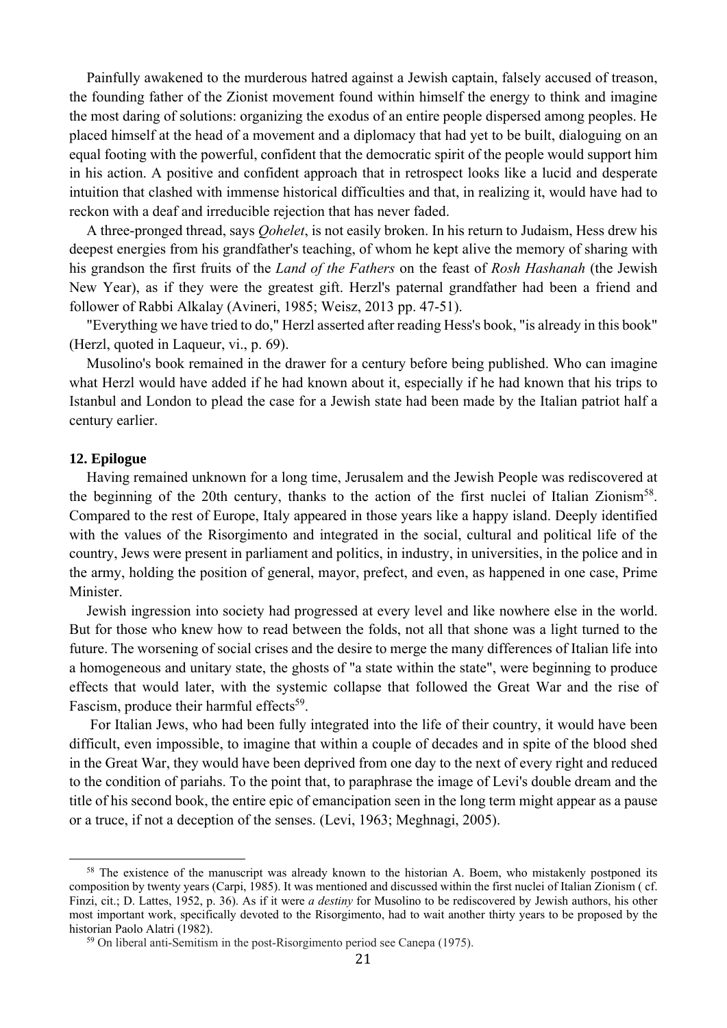Painfully awakened to the murderous hatred against a Jewish captain, falsely accused of treason, the founding father of the Zionist movement found within himself the energy to think and imagine the most daring of solutions: organizing the exodus of an entire people dispersed among peoples. He placed himself at the head of a movement and a diplomacy that had yet to be built, dialoguing on an equal footing with the powerful, confident that the democratic spirit of the people would support him in his action. A positive and confident approach that in retrospect looks like a lucid and desperate intuition that clashed with immense historical difficulties and that, in realizing it, would have had to reckon with a deaf and irreducible rejection that has never faded.

A three-pronged thread, says *Qohelet*, is not easily broken. In his return to Judaism, Hess drew his deepest energies from his grandfather's teaching, of whom he kept alive the memory of sharing with his grandson the first fruits of the *Land of the Fathers* on the feast of *Rosh Hashanah* (the Jewish New Year), as if they were the greatest gift. Herzl's paternal grandfather had been a friend and follower of Rabbi Alkalay (Avineri, 1985; Weisz, 2013 pp. 47-51).

"Everything we have tried to do," Herzl asserted after reading Hess's book, "is already in this book" (Herzl, quoted in Laqueur, vi., p. 69).

Musolino's book remained in the drawer for a century before being published. Who can imagine what Herzl would have added if he had known about it, especially if he had known that his trips to Istanbul and London to plead the case for a Jewish state had been made by the Italian patriot half a century earlier.

#### **12. Epilogue**

Having remained unknown for a long time, Jerusalem and the Jewish People was rediscovered at the beginning of the 20th century, thanks to the action of the first nuclei of Italian Zionism<sup>58</sup>. Compared to the rest of Europe, Italy appeared in those years like a happy island. Deeply identified with the values of the Risorgimento and integrated in the social, cultural and political life of the country, Jews were present in parliament and politics, in industry, in universities, in the police and in the army, holding the position of general, mayor, prefect, and even, as happened in one case, Prime Minister.

Jewish ingression into society had progressed at every level and like nowhere else in the world. But for those who knew how to read between the folds, not all that shone was a light turned to the future. The worsening of social crises and the desire to merge the many differences of Italian life into a homogeneous and unitary state, the ghosts of "a state within the state", were beginning to produce effects that would later, with the systemic collapse that followed the Great War and the rise of Fascism, produce their harmful effects<sup>59</sup>.

 For Italian Jews, who had been fully integrated into the life of their country, it would have been difficult, even impossible, to imagine that within a couple of decades and in spite of the blood shed in the Great War, they would have been deprived from one day to the next of every right and reduced to the condition of pariahs. To the point that, to paraphrase the image of Levi's double dream and the title of his second book, the entire epic of emancipation seen in the long term might appear as a pause or a truce, if not a deception of the senses. (Levi, 1963; Meghnagi, 2005).

<sup>&</sup>lt;sup>58</sup> The existence of the manuscript was already known to the historian A. Boem, who mistakenly postponed its composition by twenty years (Carpi, 1985). It was mentioned and discussed within the first nuclei of Italian Zionism ( cf. Finzi, cit.; D. Lattes, 1952, p. 36). As if it were *a destiny* for Musolino to be rediscovered by Jewish authors, his other most important work, specifically devoted to the Risorgimento, had to wait another thirty years to be proposed by the historian Paolo Alatri (1982). <sup>59</sup> On liberal anti-Semitism in the post-Risorgimento period see Canepa (1975).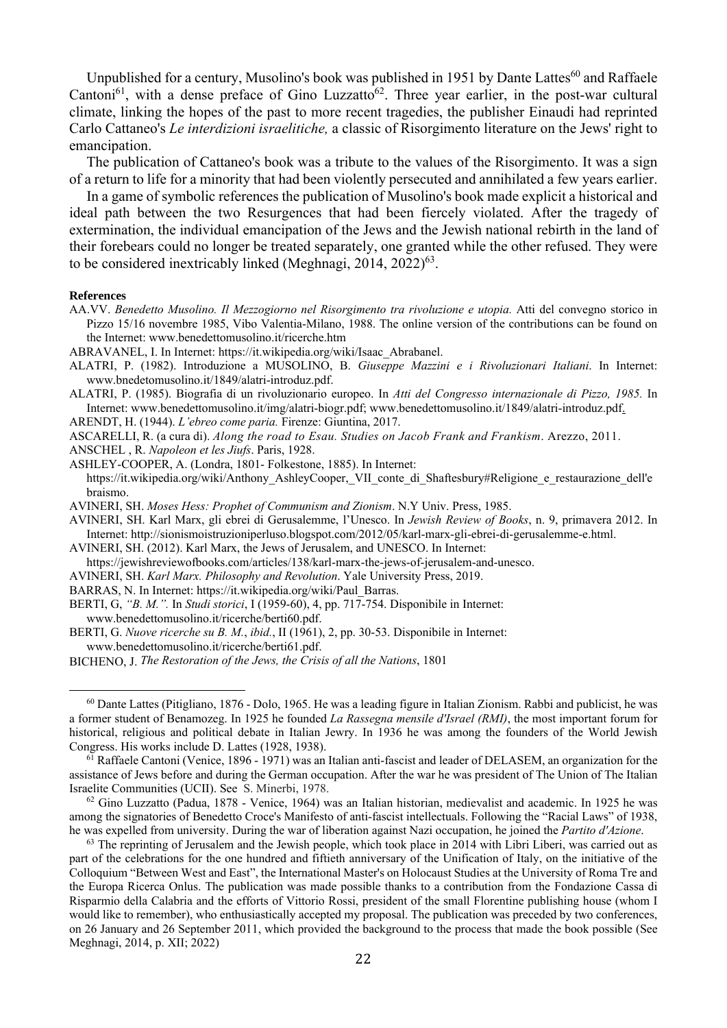Unpublished for a century, Musolino's book was published in 1951 by Dante Lattes<sup>60</sup> and Raffaele Cantoni<sup>61</sup>, with a dense preface of Gino Luzzatto<sup>62</sup>. Three year earlier, in the post-war cultural climate, linking the hopes of the past to more recent tragedies, the publisher Einaudi had reprinted Carlo Cattaneo's *Le interdizioni israelitiche,* a classic of Risorgimento literature on the Jews' right to emancipation.

The publication of Cattaneo's book was a tribute to the values of the Risorgimento. It was a sign of a return to life for a minority that had been violently persecuted and annihilated a few years earlier.

In a game of symbolic references the publication of Musolino's book made explicit a historical and ideal path between the two Resurgences that had been fiercely violated. After the tragedy of extermination, the individual emancipation of the Jews and the Jewish national rebirth in the land of their forebears could no longer be treated separately, one granted while the other refused. They were to be considered inextricably linked (Meghnagi,  $2014$ ,  $2022$ )<sup>63</sup>.

#### **References**

- AA.VV. *Benedetto Musolino. Il Mezzogiorno nel Risorgimento tra rivoluzione e utopia.* Atti del convegno storico in Pizzo 15/16 novembre 1985, Vibo Valentia-Milano, 1988. The online version of the contributions can be found on the Internet: www.benedettomusolino.it/ricerche.htm
- ABRAVANEL, I. In Internet: https://it.wikipedia.org/wiki/Isaac\_Abrabanel.
- ALATRI, P. (1982). Introduzione a MUSOLINO, B. *Giuseppe Mazzini e i Rivoluzionari Italiani*. In Internet: www.bnedetomusolino.it/1849/alatri-introduz.pdf.

ALATRI, P. (1985). Biografia di un rivoluzionario europeo. In *Atti del Congresso internazionale di Pizzo, 1985.* In Internet: www.benedettomusolino.it/img/alatri-biogr.pdf; www.benedettomusolino.it/1849/alatri-introduz.pdf.

ARENDT, H. (1944). *L'ebreo come paria.* Firenze: Giuntina, 2017.

ASCARELLI, R. (a cura di). *Along the road to Esau. Studies on Jacob Frank and Frankism*. Arezzo, 2011.

ANSCHEL , R. *Napoleon et les Jiufs*. Paris, 1928.

ASHLEY-COOPER, A. (Londra, 1801- Folkestone, 1885). In Internet:

https://it.wikipedia.org/wiki/Anthony\_AshleyCooper,\_VII\_conte\_di\_Shaftesbury#Religione\_e\_restaurazione\_dell'e braismo.

AVINERI, SH. *Moses Hess: Prophet of Communism and Zionism*. N.Y Univ. Press, 1985.

AVINERI, SH. Karl Marx, gli ebrei di Gerusalemme, l'Unesco. In *Jewish Review of Books*, n. 9, primavera 2012. In Internet: http://sionismoistruzioniperluso.blogspot.com/2012/05/karl-marx-gli-ebrei-di-gerusalemme-e.html.

AVINERI, SH. (2012). Karl Marx, the Jews of Jerusalem, and UNESCO. In Internet:

https://jewishreviewofbooks.com/articles/138/karl-marx-the-jews-of-jerusalem-and-unesco.

AVINERI, SH. *Karl Marx. Philosophy and Revolution*. Yale University Press, 2019.

- BARRAS, N. In Internet: https://it.wikipedia.org/wiki/Paul\_Barras.
- BERTI, G, *"B. M.".* In *Studi storici*, I (1959-60), 4, pp. 717-754. Disponibile in Internet: www.benedettomusolino.it/ricerche/berti60.pdf.

BERTI, G. *Nuove ricerche su B. M.*, *ibid.*, II (1961), 2, pp. 30-53. Disponibile in Internet: www.benedettomusolino.it/ricerche/berti61.pdf.

BICHENO, J. *The Restoration of the Jews, the Crisis of all the Nations*, 1801

62 Gino Luzzatto (Padua, 1878 - Venice, 1964) was an Italian historian, medievalist and academic. In 1925 he was among the signatories of Benedetto Croce's Manifesto of anti-fascist intellectuals. Following the "Racial Laws" of 1938, he was expelled from university. During the war of liberation against Nazi occupation, he joined the *Partito d'Azione*.<br><sup>63</sup> The reprinting of Jerusalem and the Jewish people, which took place in 2014 with Libri Liberi, w

part of the celebrations for the one hundred and fiftieth anniversary of the Unification of Italy, on the initiative of the Colloquium "Between West and East", the International Master's on Holocaust Studies at the University of Roma Tre and the Europa Ricerca Onlus. The publication was made possible thanks to a contribution from the Fondazione Cassa di Risparmio della Calabria and the efforts of Vittorio Rossi, president of the small Florentine publishing house (whom I would like to remember), who enthusiastically accepted my proposal. The publication was preceded by two conferences, on 26 January and 26 September 2011, which provided the background to the process that made the book possible (See Meghnagi, 2014, p. XII; 2022)

 $60$  Dante Lattes (Pitigliano, 1876 - Dolo, 1965. He was a leading figure in Italian Zionism. Rabbi and publicist, he was a former student of Benamozeg. In 1925 he founded *La Rassegna mensile d'Israel (RMI)*, the most important forum for historical, religious and political debate in Italian Jewry. In 1936 he was among the founders of the World Jewish Congress. His works include D. Lattes (1928, 1938).<br><sup>61</sup> Raffaele Cantoni (Venice, 1896 - 1971) was an Italian anti-fascist and leader of DELASEM, an organization for the

assistance of Jews before and during the German occupation. After the war he was president of The Union of The Italian Israelite Communities (UCII). See S. Minerbi, 1978.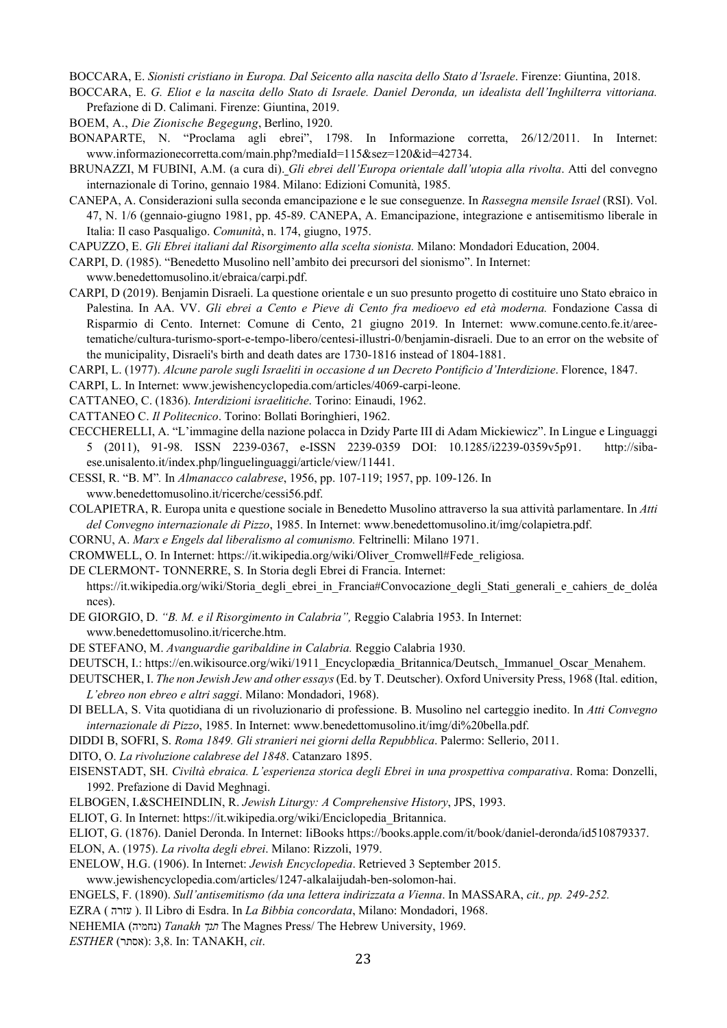BOCCARA, E. *Sionisti cristiano in Europa. Dal Seicento alla nascita dello Stato d'Israele*. Firenze: Giuntina, 2018.

BOCCARA, E. *G. Eliot e la nascita dello Stato di Israele. Daniel Deronda, un idealista dell'Inghilterra vittoriana.* Prefazione di D. Calimani. Firenze: Giuntina, 2019.

BOEM, A., *Die Zionische Begegung*, Berlino, 1920.

BONAPARTE, N. "Proclama agli ebrei", 1798. In Informazione corretta, 26/12/2011. In Internet: www.informazionecorretta.com/main.php?mediaId=115&sez=120&id=42734.

BRUNAZZI, M FUBINI, A.M. (a cura di). *Gli ebrei dell'Europa orientale dall'utopia alla rivolta*. Atti del convegno internazionale di Torino, gennaio 1984. Milano: Edizioni Comunità, 1985.

CANEPA, A. Considerazioni sulla seconda emancipazione e le sue conseguenze. In *Rassegna mensile Israel* (RSI). Vol. 47, N. 1/6 (gennaio-giugno 1981, pp. 45-89. CANEPA, A. Emancipazione, integrazione e antisemitismo liberale in Italia: Il caso Pasqualigo. *Comunità*, n. 174, giugno, 1975.

CAPUZZO, E. *Gli Ebrei italiani dal Risorgimento alla scelta sionista.* Milano: Mondadori Education, 2004.

CARPI, D. (1985). "Benedetto Musolino nell'ambito dei precursori del sionismo". In Internet:

www.benedettomusolino.it/ebraica/carpi.pdf.

CARPI, D (2019). Benjamin Disraeli. La questione orientale e un suo presunto progetto di costituire uno Stato ebraico in Palestina. In AA. VV. *Gli ebrei a Cento e Pieve di Cento fra medioevo ed età moderna*. Fondazione Cassa di Risparmio di Cento. Internet: Comune di Cento, 21 giugno 2019. In Internet: www.comune.cento.fe.it/areetematiche/cultura-turismo-sport-e-tempo-libero/centesi-illustri-0/benjamin-disraeli. Due to an error on the website of the municipality, Disraeli's birth and death dates are 1730-1816 instead of 1804-1881.

CARPI, L. (1977). *Alcune parole sugli Israeliti in occasione d un Decreto Pontificio d'Interdizione*. Florence, 1847.

CARPI, L. In Internet: www.jewishencyclopedia.com/articles/4069-carpi-leone.

CATTANEO, C. (1836). *Interdizioni israelitiche*. Torino: Einaudi, 1962.

- CATTANEO C. *Il Politecnico*. Torino: Bollati Boringhieri, 1962.
- CECCHERELLI, A. "L'immagine della nazione polacca in Dzidy Parte III di Adam Mickiewicz". In Lingue e Linguaggi 5 (2011), 91-98. ISSN 2239-0367, e-ISSN 2239-0359 DOI: 10.1285/i2239-0359v5p91. http://sibaese.unisalento.it/index.php/linguelinguaggi/article/view/11441.
- CESSI, R. "B. M"*.* In *Almanacco calabrese*, 1956, pp. 107-119; 1957, pp. 109-126. In www.benedettomusolino.it/ricerche/cessi56.pdf.
- COLAPIETRA, R. Europa unita e questione sociale in Benedetto Musolino attraverso la sua attività parlamentare. In *Atti del Convegno internazionale di Pizzo*, 1985. In Internet: www.benedettomusolino.it/img/colapietra.pdf.

CORNU, A. *Marx e Engels dal liberalismo al comunismo.* Feltrinelli: Milano 1971.

CROMWELL, O. In Internet: https://it.wikipedia.org/wiki/Oliver\_Cromwell#Fede\_religiosa.

DE CLERMONT- TONNERRE, S. In Storia degli Ebrei di Francia. Internet:

https://it.wikipedia.org/wiki/Storia\_degli\_ebrei\_in\_Francia#Convocazione\_degli\_Stati\_generali\_e\_cahiers\_de\_doléa nces).

DE GIORGIO, D. *"B. M. e il Risorgimento in Calabria",* Reggio Calabria 1953. In Internet:

www.benedettomusolino.it/ricerche.htm.

DE STEFANO, M. *Avanguardie garibaldine in Calabria.* Reggio Calabria 1930.

DEUTSCH, I.: https://en.wikisource.org/wiki/1911\_Encyclopædia\_Britannica/Deutsch,\_Immanuel\_Oscar\_Menahem.

DEUTSCHER, I. *The non Jewish Jew and other essays* (Ed. by T. Deutscher). Oxford University Press, 1968 (Ital. edition, *L'ebreo non ebreo e altri saggi*. Milano: Mondadori, 1968).

DI BELLA, S. Vita quotidiana di un rivoluzionario di professione. B. Musolino nel carteggio inedito. In *Atti Convegno internazionale di Pizzo*, 1985. In Internet: www.benedettomusolino.it/img/di%20bella.pdf.

DIDDI B, SOFRI, S. *Roma 1849. Gli stranieri nei giorni della Repubblica*. Palermo: Sellerio, 2011.

- DITO, O. *La rivoluzione calabrese del 1848*. Catanzaro 1895.
- EISENSTADT, SH. *Civiltà ebraica. L'esperienza storica degli Ebrei in una prospettiva comparativa*. Roma: Donzelli, 1992. Prefazione di David Meghnagi.
- ELBOGEN, I.&SCHEINDLIN, R. *Jewish Liturgy: A Comprehensive History*, JPS, 1993.

ELIOT, G. In Internet: https://it.wikipedia.org/wiki/Enciclopedia\_Britannica.

ELIOT, G. (1876). Daniel Deronda. In Internet: IiBooks https://books.apple.com/it/book/daniel-deronda/id510879337.

ELON, A. (1975). *La rivolta degli ebrei*. Milano: Rizzoli, 1979.

- ENELOW, H.G. (1906). In Internet: *Jewish Encyclopedia*. Retrieved 3 September 2015.
- www.jewishencyclopedia.com/articles/1247-alkalaijudah-ben-solomon-hai.
- ENGELS, F. (1890). *Sull'antisemitismo (da una lettera indirizzata a Vienna*. In MASSARA, *cit., pp. 249-252.*
- EZRA ( עזרה( . Il Libro di Esdra. In *La Bibbia concordata*, Milano: Mondadori, 1968.
- NEHEMIA ( נחמיה (*Tanakh תנך* The Magnes Press/ The Hebrew University, 1969.

 $ESTHER$  (אסתר): 3,8. In: TANAKH, *cit*.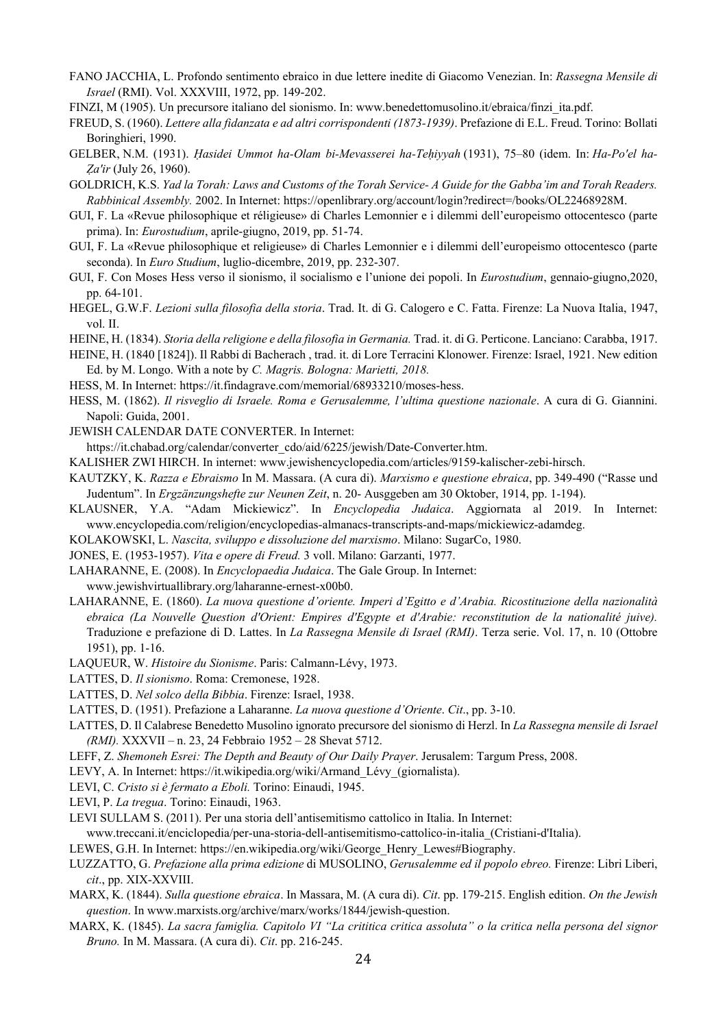- FANO JACCHIA, L. Profondo sentimento ebraico in due lettere inedite di Giacomo Venezian. In: *Rassegna Mensile di Israel* (RMI). Vol. XXXVIII, 1972, pp. 149-202.
- FINZI, M (1905). Un precursore italiano del sionismo. In: www.benedettomusolino.it/ebraica/finzi\_ita.pdf.
- FREUD, S. (1960). *Lettere alla fidanzata e ad altri corrispondenti (1873-1939)*. Prefazione di E.L. Freud. Torino: Bollati Boringhieri, 1990.
- GELBER, N.M. (1931). *Ḥasidei Ummot ha-Olam bi-Mevasserei ha-Teḥiyyah* (1931), 75–80 (idem. In: *Ha-Po'el ha-Ẓa'ir* (July 26, 1960).
- GOLDRICH, K.S. *Yad la Torah: Laws and Customs of the Torah Service- A Guide for the Gabba'im and Torah Readers. Rabbinical Assembly.* 2002. In Internet: https://openlibrary.org/account/login?redirect=/books/OL22468928M.
- GUI, F. La «Revue philosophique et réligieuse» di Charles Lemonnier e i dilemmi dell'europeismo ottocentesco (parte prima). In: *Eurostudium*, aprile-giugno, 2019, pp. 51-74.
- GUI, F. La «Revue philosophique et religieuse» di Charles Lemonnier e i dilemmi dell'europeismo ottocentesco (parte seconda). In *Euro Studium*, luglio-dicembre, 2019, pp. 232-307.
- GUI, F. Con Moses Hess verso il sionismo, il socialismo e l'unione dei popoli. In *Eurostudium*, gennaio-giugno,2020, pp. 64-101.
- HEGEL, G.W.F. *Lezioni sulla filosofia della storia*. Trad. It. di G. Calogero e C. Fatta. Firenze: La Nuova Italia, 1947, vol. II.
- HEINE, H. (1834). *Storia della religione e della filosofia in Germania.* Trad. it. di G. Perticone. Lanciano: Carabba, 1917.
- HEINE, H. (1840 [1824]). Il Rabbi di Bacherach , trad. it. di Lore Terracini Klonower. Firenze: Israel, 1921. New edition Ed. by M. Longo. With a note by *C. Magris. Bologna: Marietti, 2018.*
- HESS, M. In Internet: https://it.findagrave.com/memorial/68933210/moses-hess.
- HESS, M. (1862). *Il risveglio di Israele. Roma e Gerusalemme, l'ultima questione nazionale*. A cura di G. Giannini. Napoli: Guida, 2001.
- JEWISH CALENDAR DATE CONVERTER. In Internet:

https://it.chabad.org/calendar/converter\_cdo/aid/6225/jewish/Date-Converter.htm.

- KALISHER ZWI HIRCH. In internet: www.jewishencyclopedia.com/articles/9159-kalischer-zebi-hirsch.
- KAUTZKY, K. *Razza e Ebraismo* In M. Massara. (A cura di). *Marxismo e questione ebraica*, pp. 349-490 ("Rasse und Judentum". In *Ergzänzungshefte zur Neunen Zeit*, n. 20- Ausggeben am 30 Oktober, 1914, pp. 1-194).
- KLAUSNER, Y.A. "Adam Mickiewicz". In *Encyclopedia Judaica*. Aggiornata al 2019. In Internet: www.encyclopedia.com/religion/encyclopedias-almanacs-transcripts-and-maps/mickiewicz-adamdeg.
- KOLAKOWSKI, L. *Nascita, sviluppo e dissoluzione del marxismo*. Milano: SugarCo, 1980.
- JONES, E. (1953-1957). *Vita e opere di Freud.* 3 voll. Milano: Garzanti, 1977.
- LAHARANNE, E. (2008). In *Encyclopaedia Judaica*. The Gale Group. In Internet:
- www.jewishvirtuallibrary.org/laharanne-ernest-x00b0.
- LAHARANNE, E. (1860). *La nuova questione d'oriente. Imperi d'Egitto e d'Arabia. Ricostituzione della nazionalità ebraica (La Nouvelle Question d'Orient: Empires d'Egypte et d'Arabie: reconstitution de la nationalité juive).* Traduzione e prefazione di D. Lattes. In *La Rassegna Mensile di Israel (RMI)*. Terza serie. Vol. 17, n. 10 (Ottobre 1951), pp. 1-16.
- LAQUEUR, W. *Histoire du Sionisme*. Paris: Calmann-Lévy, 1973.
- LATTES, D. *Il sionismo*. Roma: Cremonese, 1928.
- LATTES, D. *Nel solco della Bibbia*. Firenze: Israel, 1938.
- LATTES, D. (1951). Prefazione a Laharanne. *La nuova questione d'Oriente*. *Cit*., pp. 3-10.
- LATTES, D. Il Calabrese Benedetto Musolino ignorato precursore del sionismo di Herzl. In *La Rassegna mensile di Israel (RMI).* XXXVII – n. 23, 24 Febbraio 1952 – 28 Shevat 5712.
- LEFF, Z. *Shemoneh Esrei: The Depth and Beauty of Our Daily Prayer*. Jerusalem: Targum Press, 2008.
- LEVY, A. In Internet: https://it.wikipedia.org/wiki/Armand\_Lévy\_(giornalista).
- LEVI, C. *Cristo si è fermato a Eboli.* Torino: Einaudi, 1945.
- LEVI, P. *La tregua*. Torino: Einaudi, 1963.
- LEVI SULLAM S. (2011). Per una storia dell'antisemitismo cattolico in Italia. In Internet:
- www.treccani.it/enciclopedia/per-una-storia-dell-antisemitismo-cattolico-in-italia\_(Cristiani-d'Italia).
- LEWES, G.H. In Internet: https://en.wikipedia.org/wiki/George\_Henry\_Lewes#Biography.
- LUZZATTO, G. *Prefazione alla prima edizione* di MUSOLINO, *Gerusalemme ed il popolo ebreo.* Firenze: Libri Liberi, *cit*., pp. XIX-XXVIII.
- MARX, K. (1844). *Sulla questione ebraica*. In Massara, M. (A cura di). *Cit*. pp. 179-215. English edition. *On the Jewish question*. In www.marxists.org/archive/marx/works/1844/jewish-question.
- MARX, K. (1845). *La sacra famiglia. Capitolo VI "La crititica critica assoluta" o la critica nella persona del signor Bruno.* In M. Massara. (A cura di). *Cit*. pp. 216-245.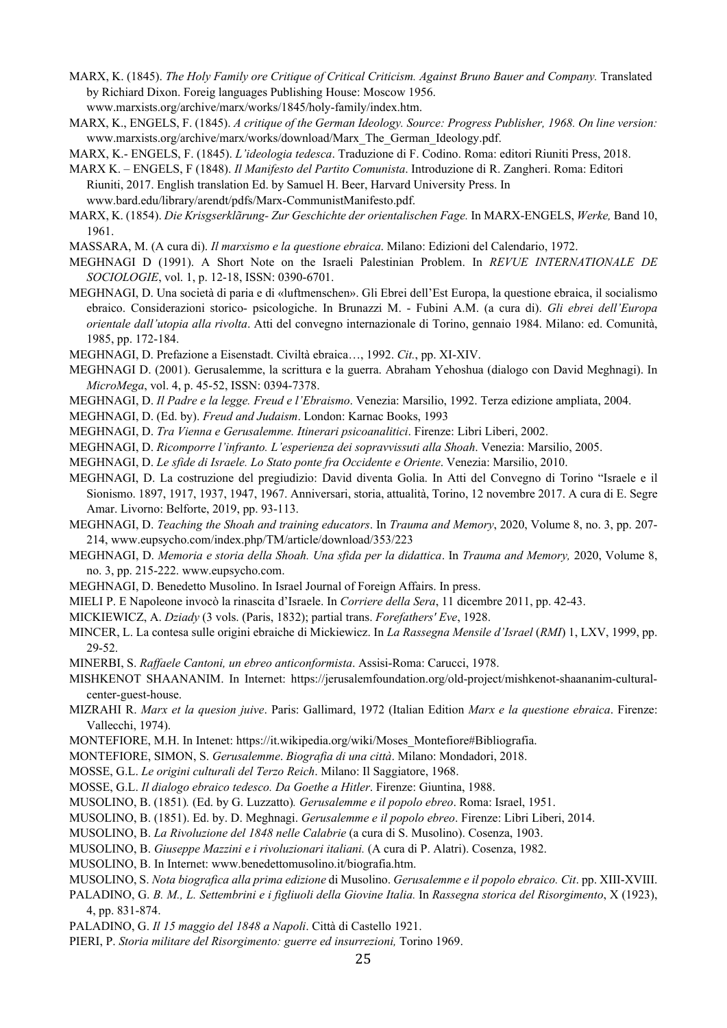MARX, K. (1845). *The Holy Family ore Critique of Critical Criticism. Against Bruno Bauer and Company.* Translated by Richiard Dixon. Foreig languages Publishing House: Moscow 1956. www.marxists.org/archive/marx/works/1845/holy-family/index.htm.

MARX, K., ENGELS, F. (1845). *A critique of the German Ideology. Source: Progress Publisher, 1968. On line version:*  www.marxists.org/archive/marx/works/download/Marx\_The\_German\_Ideology.pdf.

MARX, K.- ENGELS, F. (1845). *L'ideologia tedesca*. Traduzione di F. Codino. Roma: editori Riuniti Press, 2018.

MARX K. – ENGELS, F (1848). *Il Manifesto del Partito Comunista*. Introduzione di R. Zangheri. Roma: Editori Riuniti, 2017. English translation Ed. by Samuel H. Beer, Harvard University Press. In www.bard.edu/library/arendt/pdfs/Marx-CommunistManifesto.pdf.

MARX, K. (1854). *Die Krisgserklãrung- Zur Geschichte der orientalischen Fage.* In MARX-ENGELS, *Werke,* Band 10, 1961.

MASSARA, M. (A cura di). *Il marxismo e la questione ebraica*. Milano: Edizioni del Calendario, 1972.

MEGHNAGI D (1991). A Short Note on the Israeli Palestinian Problem. In *REVUE INTERNATIONALE DE SOCIOLOGIE*, vol. 1, p. 12-18, ISSN: 0390-6701.

MEGHNAGI, D. Una società di paria e di «luftmenschen». Gli Ebrei dell'Est Europa, la questione ebraica, il socialismo ebraico. Considerazioni storico- psicologiche. In Brunazzi M. - Fubini A.M. (a cura di). *Gli ebrei dell'Europa orientale dall'utopia alla rivolta*. Atti del convegno internazionale di Torino, gennaio 1984. Milano: ed. Comunità, 1985, pp. 172-184.

MEGHNAGI, D. Prefazione a Eisenstadt. Civiltà ebraica…, 1992. *Cit.*, pp. XI-XIV.

MEGHNAGI D. (2001). Gerusalemme, la scrittura e la guerra. Abraham Yehoshua (dialogo con David Meghnagi). In *MicroMega*, vol. 4, p. 45-52, ISSN: 0394-7378.

MEGHNAGI, D. *Il Padre e la legge. Freud e l'Ebraismo*. Venezia: Marsilio, 1992. Terza edizione ampliata, 2004.

MEGHNAGI, D. (Ed. by). *Freud and Judaism*. London: Karnac Books, 1993

MEGHNAGI, D. *Tra Vienna e Gerusalemme. Itinerari psicoanalitici*. Firenze: Libri Liberi, 2002.

MEGHNAGI, D. *Ricomporre l'infranto. L'esperienza dei sopravvissuti alla Shoah*. Venezia: Marsilio, 2005.

MEGHNAGI, D. *Le sfide di Israele. Lo Stato ponte fra Occidente e Oriente*. Venezia: Marsilio, 2010.

MEGHNAGI, D. La costruzione del pregiudizio: David diventa Golia. In Atti del Convegno di Torino "Israele e il Sionismo. 1897, 1917, 1937, 1947, 1967. Anniversari, storia, attualità, Torino, 12 novembre 2017. A cura di E. Segre Amar. Livorno: Belforte, 2019, pp. 93-113.

MEGHNAGI, D. *Teaching the Shoah and training educators*. In *Trauma and Memory*, 2020, Volume 8, no. 3, pp. 207- 214, www.eupsycho.com/index.php/TM/article/download/353/223

MEGHNAGI, D. *Memoria e storia della Shoah. Una sfida per la didattica*. In *Trauma and Memory,* 2020, Volume 8, no. 3, pp. 215-222. www.eupsycho.com.

MEGHNAGI, D. Benedetto Musolino. In Israel Journal of Foreign Affairs. In press.

MIELI P. E Napoleone invocò la rinascita d'Israele. In *Corriere della Sera*, 11 dicembre 2011, pp. 42-43.

MICKIEWICZ, A. *Dziady* (3 vols. (Paris, 1832); partial trans. *Forefathers' Eve*, 1928.

MINCER, L. La contesa sulle origini ebraiche di Mickiewicz. In *La Rassegna Mensile d'Israel* (*RMI*) 1, LXV, 1999, pp. 29-52.

MINERBI, S. *Raffaele Cantoni, un ebreo anticonformista*. Assisi-Roma: Carucci, 1978.

MISHKENOT SHAANANIM. In Internet: https://jerusalemfoundation.org/old-project/mishkenot-shaananim-culturalcenter-guest-house.

MIZRAHI R. *Marx et la quesion juive*. Paris: Gallimard, 1972 (Italian Edition *Marx e la questione ebraica*. Firenze: Vallecchi, 1974).

MONTEFIORE, M.H. In Intenet: https://it.wikipedia.org/wiki/Moses\_Montefiore#Bibliografia.

MONTEFIORE, SIMON, S. *Gerusalemme*. *Biografia di una città*. Milano: Mondadori, 2018.

MOSSE, G.L. *Le origini culturali del Terzo Reich*. Milano: Il Saggiatore, 1968.

MOSSE, G.L. *Il dialogo ebraico tedesco. Da Goethe a Hitler*. Firenze: Giuntina, 1988.

MUSOLINO, B. (1851)*.* (Ed. by G. Luzzatto)*. Gerusalemme e il popolo ebreo*. Roma: Israel, 1951.

MUSOLINO, B. (1851). Ed. by. D. Meghnagi. *Gerusalemme e il popolo ebreo*. Firenze: Libri Liberi, 2014.

MUSOLINO, B. *La Rivoluzione del 1848 nelle Calabrie* (a cura di S. Musolino). Cosenza, 1903.

MUSOLINO, B. *Giuseppe Mazzini e i rivoluzionari italiani.* (A cura di P. Alatri). Cosenza, 1982.

MUSOLINO, B. In Internet: www.benedettomusolino.it/biografia.htm.

MUSOLINO, S. *Nota biografica alla prima edizione* di Musolino. *Gerusalemme e il popolo ebraico. Cit*. pp. XIII-XVIII.

PALADINO, G. *B. M., L. Settembrini e i figliuoli della Giovine Italia.* In *Rassegna storica del Risorgimento*, X (1923), 4, pp. 831-874.

PALADINO, G. *Il 15 maggio del 1848 a Napoli*. Città di Castello 1921.

PIERI, P. Storia militare del Risorgimento: guerre ed insurrezioni, Torino 1969.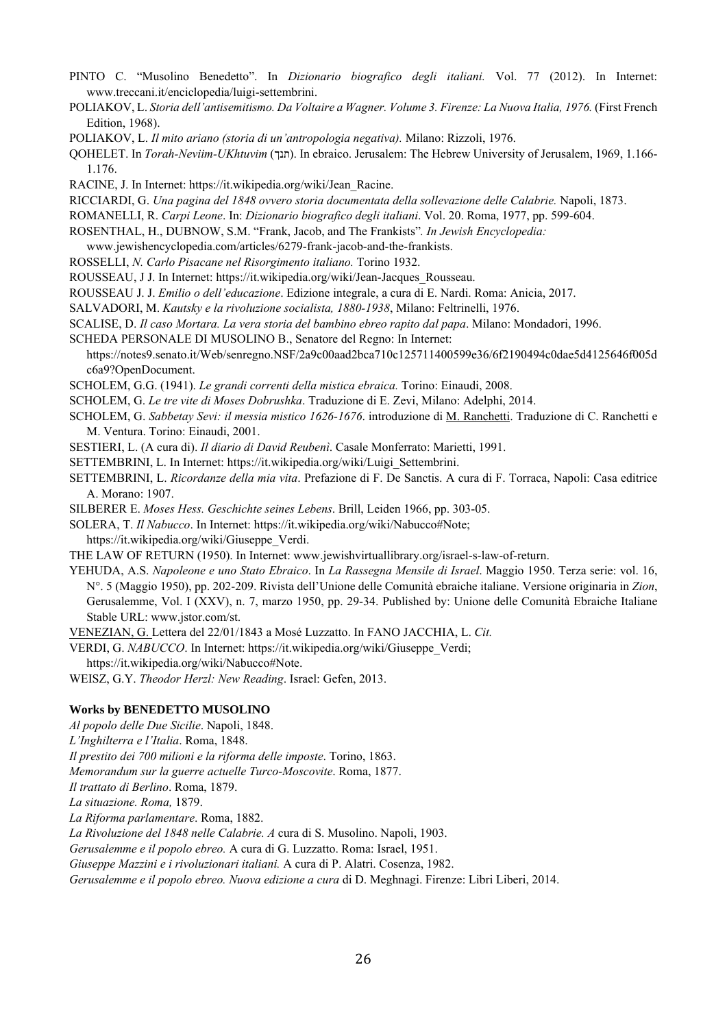- PINTO C. "Musolino Benedetto". In *Dizionario biografico degli italiani.* Vol. 77 (2012). In Internet: www.treccani.it/enciclopedia/luigi-settembrini.
- POLIAKOV, L. *Storia dell'antisemitismo. Da Voltaire a Wagner. Volume 3. Firenze: La Nuova Italia, 1976.* (First French Edition, 1968).
- POLIAKOV, L. *Il mito ariano (storia di un'antropologia negativa).* Milano: Rizzoli, 1976.

QOHELET. In *Torah-Neviim-UKhtuvim* (תנך). In ebraico. Jerusalem: The Hebrew University of Jerusalem, 1969, 1.166-1.176.

RACINE, J. In Internet: https://it.wikipedia.org/wiki/Jean\_Racine.

RICCIARDI, G. *Una pagina del 1848 ovvero storia documentata della sollevazione delle Calabrie.* Napoli, 1873.

- ROMANELLI, R. *Carpi Leone*. In: *Dizionario biografico degli italiani*. Vol. 20. Roma, 1977, pp. 599-604.
- ROSENTHAL, H., DUBNOW, S.M. "Frank, Jacob, and The Frankists"*. In Jewish Encyclopedia:*

www.jewishencyclopedia.com/articles/6279-frank-jacob-and-the-frankists.

- ROSSELLI, *N. Carlo Pisacane nel Risorgimento italiano.* Torino 1932.
- ROUSSEAU, J J. In Internet: https://it.wikipedia.org/wiki/Jean-Jacques\_Rousseau.
- ROUSSEAU J. J. *Emilio o dell'educazione*. Edizione integrale, a cura di E. Nardi. Roma: Anicia, 2017.
- SALVADORI, M. *Kautsky e la rivoluzione socialista, 1880-1938*, Milano: Feltrinelli, 1976.
- SCALISE, D. *Il caso Mortara. La vera storia del bambino ebreo rapito dal papa*. Milano: Mondadori, 1996.
- SCHEDA PERSONALE DI MUSOLINO B., Senatore del Regno: In Internet:
- https://notes9.senato.it/Web/senregno.NSF/2a9c00aad2bca710c125711400599e36/6f2190494c0dae5d4125646f005d c6a9?OpenDocument.
- SCHOLEM, G.G. (1941). *Le grandi correnti della mistica ebraica.* Torino: Einaudi, 2008.
- SCHOLEM, G. *Le tre vite di Moses Dobrushka*. Traduzione di E. Zevi, Milano: Adelphi, 2014.
- SCHOLEM, G. *Sabbetay Sevi: il messia mistico 1626-1676*. introduzione di M. Ranchetti. Traduzione di C. Ranchetti e M. Ventura. Torino: Einaudi, 2001.
- SESTIERI, L. (A cura di). *Il diario di David Reubenì*. Casale Monferrato: Marietti, 1991.
- SETTEMBRINI, L. In Internet: https://it.wikipedia.org/wiki/Luigi\_Settembrini.
- SETTEMBRINI, L. *Ricordanze della mia vita*. Prefazione di F. De Sanctis. A cura di F. Torraca, Napoli: Casa editrice A. Morano: 1907.
- SILBERER E. *Moses Hess. Geschichte seines Lebens*. Brill, Leiden 1966, pp. 303-05.
- SOLERA, T. *Il Nabucco*. In Internet: https://it.wikipedia.org/wiki/Nabucco#Note;

https://it.wikipedia.org/wiki/Giuseppe\_Verdi.

- THE LAW OF RETURN (1950). In Internet: www.jewishvirtuallibrary.org/israel-s-law-of-return.
- YEHUDA, A.S. *Napoleone e uno Stato Ebraico*. In *La Rassegna Mensile di Israel*. Maggio 1950. Terza serie: vol. 16, N°. 5 (Maggio 1950), pp. 202-209. Rivista dell'Unione delle Comunità ebraiche italiane. Versione originaria in *Zion*, Gerusalemme, Vol. I (XXV), n. 7, marzo 1950, pp. 29-34. Published by: Unione delle Comunità Ebraiche Italiane Stable URL: www.jstor.com/st.

VENEZIAN, G. Lettera del 22/01/1843 a Mosé Luzzatto. In FANO JACCHIA, L. *Cit.* 

VERDI, G. *NABUCCO*. In Internet: https://it.wikipedia.org/wiki/Giuseppe\_Verdi;

https://it.wikipedia.org/wiki/Nabucco#Note.

WEISZ, G.Y. *Theodor Herzl: New Reading*. Israel: Gefen, 2013.

#### **Works by BENEDETTO MUSOLINO**

*Al popolo delle Due Sicilie*. Napoli, 1848.

- *L'Inghilterra e l'Italia*. Roma, 1848.
- *Il prestito dei 700 milioni e la riforma delle imposte*. Torino, 1863.
- *Memorandum sur la guerre actuelle Turco-Moscovite*. Roma, 1877.
- *Il trattato di Berlino*. Roma, 1879.

*La situazione. Roma,* 1879.

*La Riforma parlamentare*. Roma, 1882.

*La Rivoluzione del 1848 nelle Calabrie. A* cura di S. Musolino. Napoli, 1903.

*Gerusalemme e il popolo ebreo.* A cura di G. Luzzatto. Roma: Israel, 1951.

*Giuseppe Mazzini e i rivoluzionari italiani.* A cura di P. Alatri. Cosenza, 1982.

*Gerusalemme e il popolo ebreo. Nuova edizione a cura* di D. Meghnagi. Firenze: Libri Liberi, 2014.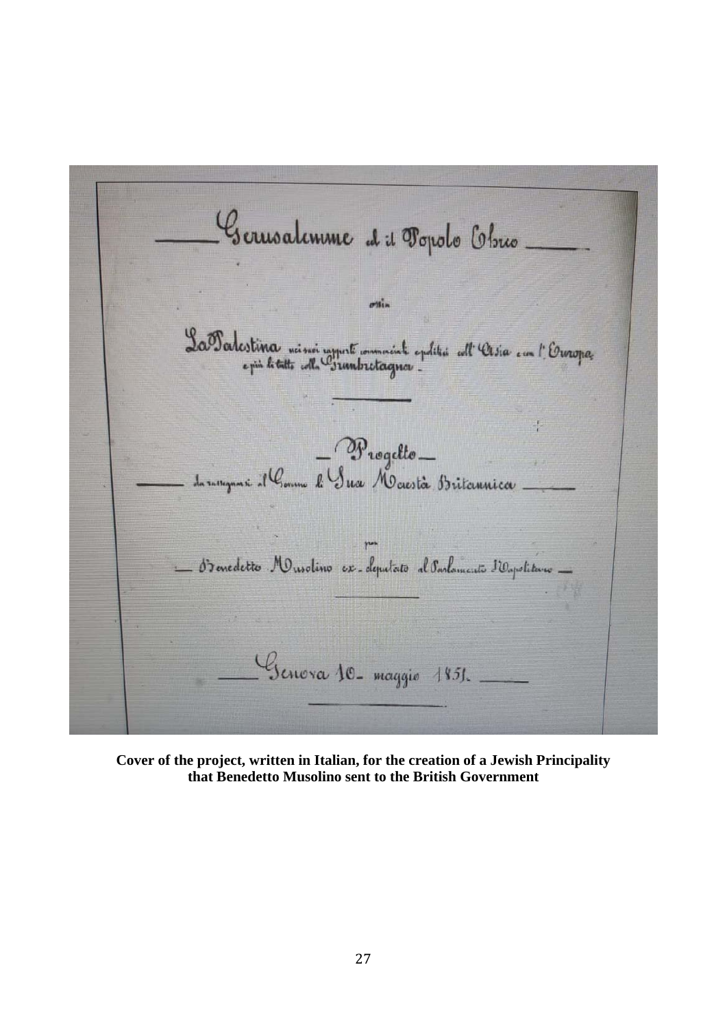Cernoalemme et a Popolo Obro.  $\sigma$ <sup>1</sup> La Talestina námi inputé commainte explitie coll'Orsia e un l'Ouropa de resugnarie al Comme de Sua Marsia Britannica - D'ionedetto Musolino ex-deputato al Parlamento Mapolitano Genova 10- maggio 1851.

**Cover of the project, written in Italian, for the creation of a Jewish Principality that Benedetto Musolino sent to the British Government**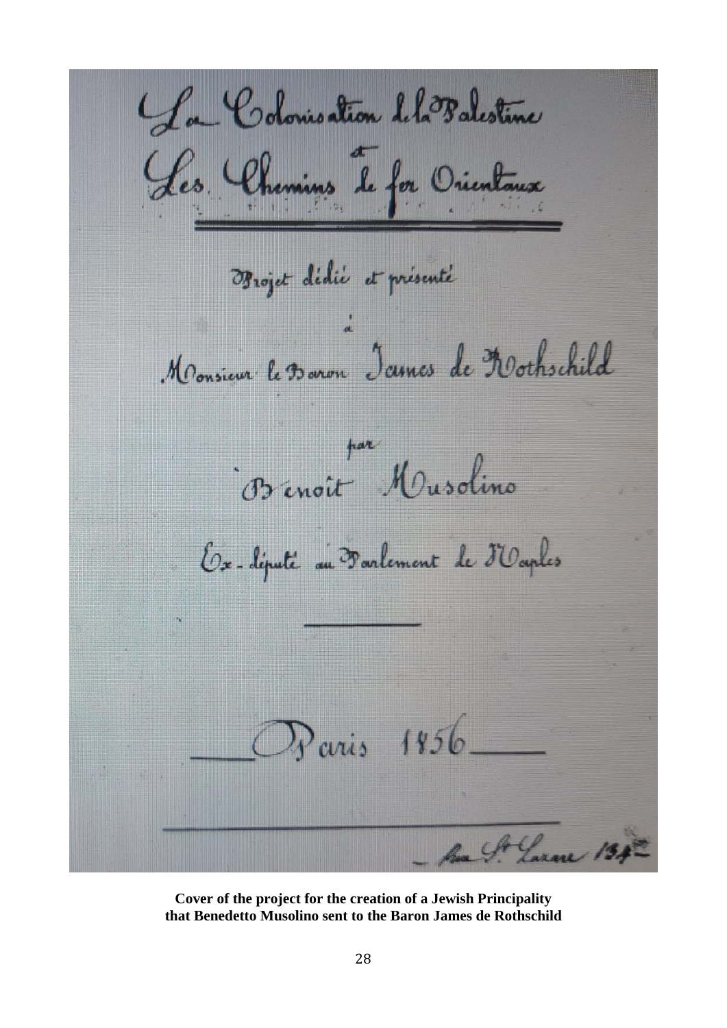You Colonisation dela Balcotine Les Chemins de for Orientana OBrojet didie et présenté Monsieur le Baron James de Rothschild Benoit Musolino Ox-député au Barlement de Maples Paris 1856. Laran 1

**Cover of the project for the creation of a Jewish Principality that Benedetto Musolino sent to the Baron James de Rothschild**